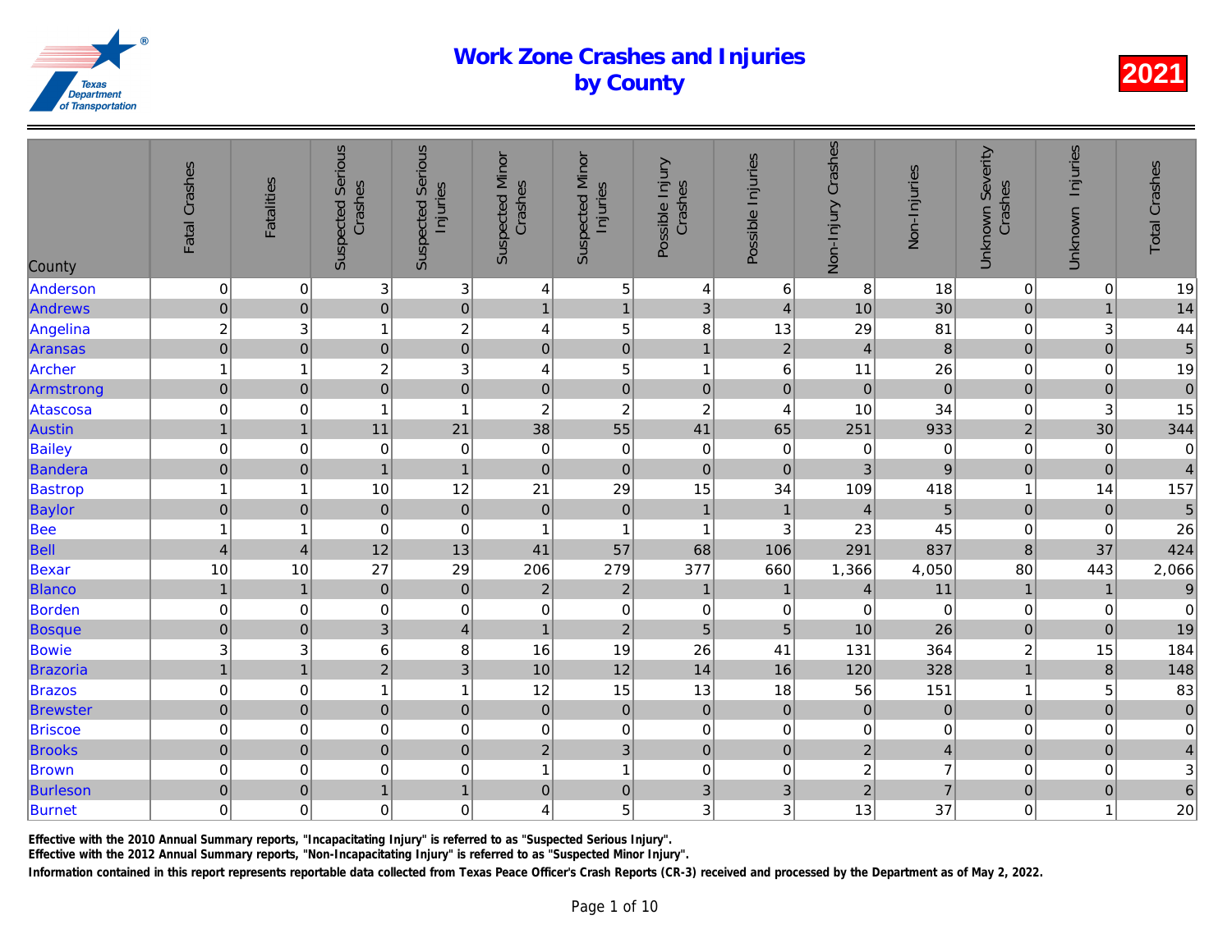| County          | Fatal Crashes             | <b>Fatalities</b>   | <b>Suspected Serious</b><br>Crashes | <b>Suspected Serious</b><br>Injuries | <b>Suspected Minor</b><br>Crashes | <b>Suspected Minor</b><br>Injuries | Possible Injury<br>Crashes | Possible Injuries | Non-Injury Crashes | Non-Injuries   |
|-----------------|---------------------------|---------------------|-------------------------------------|--------------------------------------|-----------------------------------|------------------------------------|----------------------------|-------------------|--------------------|----------------|
| Anderson        | $\boldsymbol{0}$          | $\mathbf 0$         | $\overline{3}$                      | $\sqrt{3}$                           | 4                                 | $\,$ 5 $\,$                        | 4                          | 6                 | 8                  | 18             |
| Andrews         | $\mathbf 0$               | $\pmb{0}$           | $\overline{0}$                      | $\overline{0}$                       | $\mathbf{1}$                      | $\mathbf{1}$                       | 3                          | $\overline{4}$    | 10                 | 30             |
| Angelina        | $\boldsymbol{2}$          | 3                   | 1                                   | $\boldsymbol{2}$                     | 4                                 | $\sqrt{5}$                         | 8                          | 13                | 29                 | 81             |
| Aransas         | $\overline{0}$            | $\pmb{0}$           | $\overline{0}$                      | $\overline{0}$                       | $\pmb{0}$                         | $\mathbf 0$                        | $\mathbf{1}$               | $\mathbf 2$       | $\overline{4}$     | $\bf{8}$       |
| Archer          | $\mathbf{1}$              | $\mathbf 1$         | $\overline{c}$                      | 3                                    | 4                                 | 5                                  | $\mathbf{1}$               | 6                 | 11                 | 26             |
| Armstrong       | $\pmb{0}$                 | $\pmb{0}$           | $\overline{0}$                      | $\overline{0}$                       | $\mathbf 0$                       | $\mathbf 0$                        | $\mathbf 0$                | $\mathbf 0$       | $\mathbf 0$        | $\overline{0}$ |
| Atascosa        | $\mathbf 0$               | $\pmb{0}$           | 1                                   | $\mathbf{1}$                         | $\overline{c}$                    | $\overline{c}$                     | $\overline{\mathbf{c}}$    | 4                 | 10                 | 34             |
| Austin          | $\mathbf{1}$              | $\mathbf{1}$        | 11                                  | 21                                   | 38                                | 55                                 | 41                         | 65                | 251                | 933            |
| Bailey          | $\mathbf 0$               | $\mathbf 0$         | $\mathbf 0$                         | $\,0\,$                              | $\mathbf 0$                       | $\pmb{0}$                          | 0                          | 0                 | $\mathbf 0$        | $\overline{0}$ |
| Bandera         | $\pmb{0}$                 | $\pmb{0}$           | $\mathbf{1}$                        | $\mathbf{1}$                         | $\pmb{0}$                         | $\pmb{0}$                          | $\mathbf 0$                | $\pmb{0}$         | 3                  | $\overline{9}$ |
| <b>Bastrop</b>  | $\overline{1}$            | 1                   | 10                                  | 12                                   | 21                                | 29                                 | 15                         | 34                | 109                | 418            |
| Baylor          | $\mathsf{O}\xspace$       | $\pmb{0}$           | $\mathbf 0$                         | $\mathbf 0$                          | $\mathbf 0$                       | $\overline{0}$                     | $\overline{1}$             | $\mathbf{1}$      | $\overline{4}$     | $\overline{5}$ |
| Bee             | $\mathbf{1}$              | 1                   | $\pmb{0}$                           | $\mathbf 0$                          | $\overline{1}$                    | $\mathbf{1}$                       | $\mathbf{1}$               | $\sqrt{3}$        | 23                 | 45             |
| Bell            | $\overline{\mathbf{4}}$   | $\overline{4}$      | 12                                  | 13                                   | 41                                | 57                                 | 68                         | 106               | 291                | 837            |
| Bexar           | 10                        | 10                  | 27                                  | 29                                   | 206                               | 279                                | 377                        | 660               | 1,366              | 4,050          |
| <b>Blanco</b>   | $\mathbf{1}$              | $\mathbf{1}$        | $\mathbf 0$                         | $\mathbf 0$                          | $\overline{2}$                    | $\sqrt{2}$                         | $\mathbf{1}$               | $\mathbf{1}$      | $\overline{4}$     | 11             |
| Borden          | $\mathbf 0$               | $\mathbf 0$         | $\mathbf 0$                         | $\mathbf 0$                          | $\pmb{0}$                         | $\mathbf 0$                        | 0                          | $\pmb{0}$         | $\overline{0}$     | $\overline{0}$ |
| Bosque          | $\overline{0}$            | $\mathbf 0$         | 3 <sup>1</sup>                      | $\overline{4}$                       | $\mathbf{1}$                      | $\overline{2}$                     | 5                          | 5                 | 10                 | 26             |
| Bowie           | $\ensuremath{\mathsf{3}}$ | 3                   | 6                                   | 8                                    | 16                                | 19                                 | 26                         | 41                | 131                | 364            |
| Brazoria        | $\overline{1}$            | $\overline{1}$      | $\overline{2}$                      | $\overline{3}$                       | 10                                | 12                                 | 14                         | 16                | 120                | 328            |
| <b>Brazos</b>   | $\mathbf 0$               | $\mathbf 0$         | $\mathbf{1}$                        | $\mathbf{1}$                         | 12                                | 15                                 | 13                         | 18                | 56                 | 151            |
| <b>Brewster</b> | $\pmb{0}$                 | $\pmb{0}$           | $\pmb{0}$                           | $\mathbf 0$                          | $\pmb{0}$                         | $\overline{0}$                     | $\mathbf 0$                | $\mathbf 0$       | $\mathbf 0$        | $\mathbf 0$    |
| <b>Briscoe</b>  | $\mathbf 0$               | $\mathbf 0$         | $\mathbf 0$                         | $\mathbf 0$                          | 0                                 | $\pmb{0}$                          | 0                          | $\pmb{0}$         | 0                  | $\overline{0}$ |
| <b>Brooks</b>   | $\pmb{0}$                 | $\mathbf 0$         | $\overline{0}$                      | $\mathbf 0$                          | $\overline{2}$                    | 3 <sup>1</sup>                     | $\mathbf 0$                | $\pmb{0}$         | $\overline{2}$     | $\overline{4}$ |
| <b>Brown</b>    | $\mathbf 0$               | $\mathbf 0$         | $\mathbf 0$                         | $\mathbf 0$                          | $\mathbf{1}$                      | $\mathbf{1}$                       | $\mathbf 0$                | $\boldsymbol{0}$  | $\overline{c}$     | $\overline{7}$ |
| Burleson        | $\mathbf 0$               | $\mathsf{O}\xspace$ | $\mathbf{1}$                        | $\overline{1}$                       | $\pmb{0}$                         | $\mathbf 0$                        | 3                          | 3                 | $\overline{2}$     | $\overline{7}$ |
| Burnet          | $\mathbf 0$               | 0                   | $\overline{0}$                      | $\mbox{O}$                           | 4                                 | 5                                  | 3                          | $\mathbf{3}$      | 13                 | 37             |
|                 |                           |                     |                                     |                                      |                                   |                                    |                            |                   |                    |                |

Effective with the 2010 Annual Summary reports, "Incapacitating Injury" is referred to as "Suspected Serious Injury".

Effective with the 2012 Annual Summary reports, "Non-Incapacitating Injury" is referred to as "Suspected Minor Injury".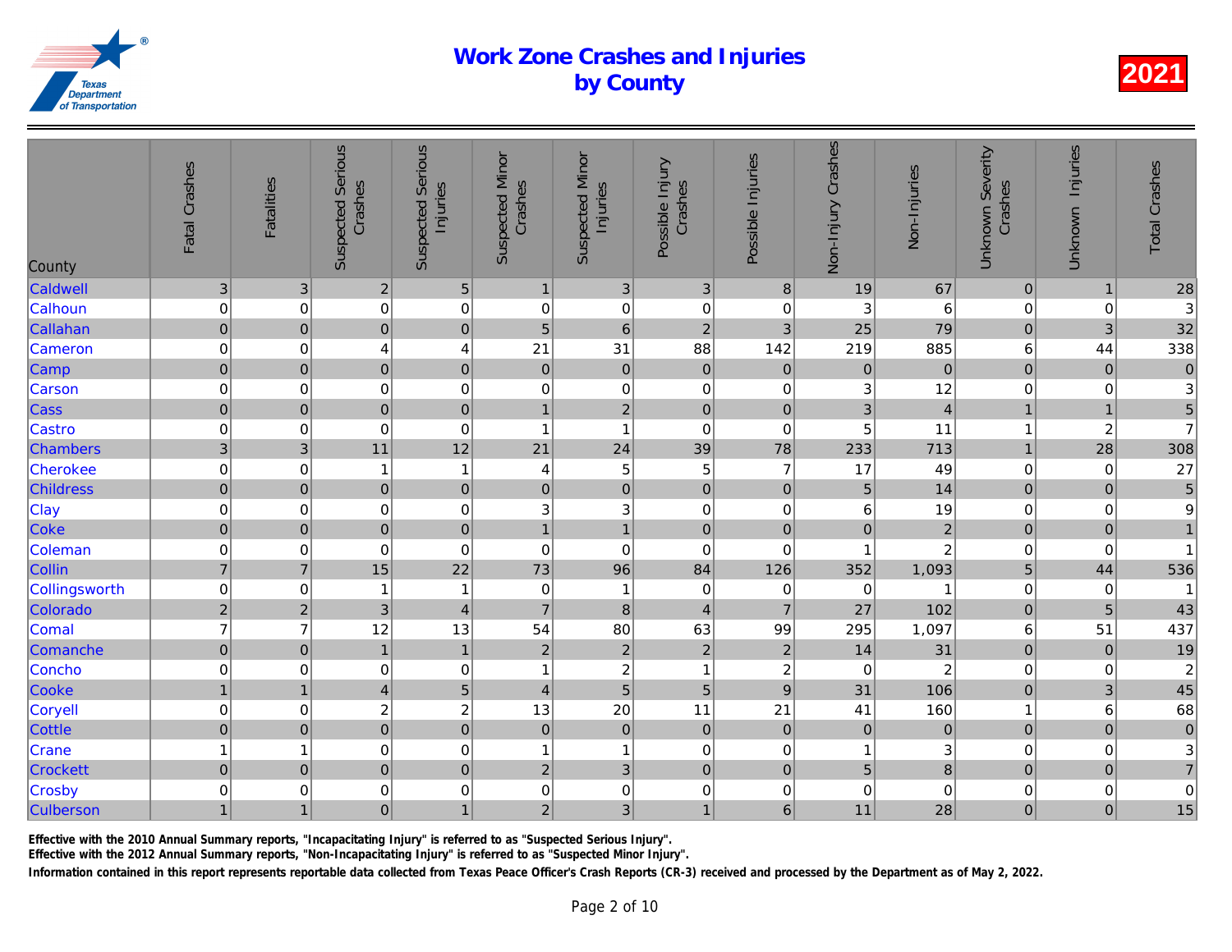| County           | Fatal Crashes             | <b>Fatalities</b>         | <b>Suspected Serious</b><br>Crashes | <b>Suspected Serious</b><br>Injuries | <b>Suspected Minor</b><br>Crashes | <b>Suspected Minor</b><br>Injuries | Possible Injury<br>Crashes | Possible Injuries | Non-Injury Crashes | Non-Injuries    |
|------------------|---------------------------|---------------------------|-------------------------------------|--------------------------------------|-----------------------------------|------------------------------------|----------------------------|-------------------|--------------------|-----------------|
| Caldwell         | $\ensuremath{\mathsf{3}}$ | $\ensuremath{\mathsf{3}}$ | $\overline{c}$                      | $\sqrt{5}$                           | $\mathbf{1}$                      | $\mathbf{3}$                       | $\ensuremath{\mathsf{3}}$  | $\bf 8$           | 19                 | 67              |
| Calhoun          | $\mathbf 0$               | 0                         | $\mathbf 0$                         | $\mathbf 0$                          | $\boldsymbol{0}$                  | $\boldsymbol{0}$                   | $\mathbf 0$                | 0                 | 3                  | $6\phantom{.}6$ |
| Callahan         | $\mathbf 0$               | $\mathbf 0$               | $\overline{0}$                      | $\mathbf 0$                          | 5                                 | $\,$ 6 $\,$                        | $\overline{2}$             | 3                 | 25                 | 79              |
| Cameron          | $\mathbf 0$               | 0                         | 4                                   | $\overline{\mathbf{4}}$              | 21                                | 31                                 | 88                         | 142               | 219                | 885             |
| Camp             | $\pmb{0}$                 | $\pmb{0}$                 | $\pmb{0}$                           | $\mathbf 0$                          | $\pmb{0}$                         | $\pmb{0}$                          | $\pmb{0}$                  | $\mathbf 0$       | $\mathbf 0$        | $\mathbf 0$     |
| Carson           | $\mbox{O}$                | $\mathbf 0$               | $\mathbf 0$                         | $\mathbf 0$                          | $\mathbf 0$                       | $\pmb{0}$                          | 0                          | $\pmb{0}$         | 3                  | 12              |
| Cass             | $\mathbf 0$               | $\pmb{0}$                 | $\mathbf 0$                         | $\mathbf 0$                          | $\mathbf{1}$                      | $\overline{2}$                     | $\mathbf 0$                | $\pmb{0}$         | 3                  | $\overline{4}$  |
| Castro           | $\mbox{O}$                | $\mathbf 0$               | $\mathbf 0$                         | $\mathbf 0$                          | $\overline{1}$                    | $\mathbf{1}$                       | $\mathbf 0$                | 0                 | 5                  | 11              |
| <b>Chambers</b>  | $\overline{3}$            | 3                         | 11                                  | 12                                   | 21                                | 24                                 | 39                         | 78                | 233                | 713             |
| Cherokee         | $\mathbf 0$               | $\pmb{0}$                 | $\mathbf{1}$                        | $\mathbf{1}$                         | 4                                 | $\mathbf 5$                        | 5                          | $\overline{7}$    | 17                 | 49              |
| <b>Childress</b> | $\pmb{0}$                 | $\pmb{0}$                 | $\mathbf 0$                         | $\mathbf 0$                          | $\pmb{0}$                         | $\pmb{0}$                          | $\mathbf 0$                | $\pmb{0}$         | 5                  | 14              |
| Clay             | $\mathsf{O}\xspace$       | 0                         | $\overline{0}$                      | $\mathbf 0$                          | $\ensuremath{\mathsf{3}}$         | 3                                  | $\mathbf 0$                | $\mathbf 0$       | 6                  | 19              |
| Coke             | $\overline{0}$            | $\mathbf 0$               | 0                                   | $\mathbf 0$                          | $\mathbf{1}$                      | $\mathbf{1}$                       | $\mathbf 0$                | $\mathbf 0$       | $\mathbf 0$        | $\overline{a}$  |
| Coleman          | $\mathbf 0$               | $\mathbf 0$               | $\mathbf 0$                         | $\mathbf 0$                          | $\pmb{0}$                         | $\mathbf 0$                        | $\mathbf 0$                | 0                 | 1                  | $\overline{c}$  |
| Collin           | $\overline{7}$            | $\overline{7}$            | 15                                  | 22                                   | 73                                | 96                                 | 84                         | 126               | 352                | 1,093           |
| Collingsworth    | $\mathbf 0$               | $\mathbf 0$               | $\overline{1}$                      | 1                                    | $\mathbf 0$                       | $\mathbf{1}$                       | $\mathbf 0$                | $\pmb{0}$         | $\mathbf 0$        |                 |
| Colorado         | $\overline{c}$            | $\sqrt{2}$                | $\overline{3}$                      | $\overline{\mathbf{4}}$              | $\overline{7}$                    | $\bf 8$                            | $\overline{\mathbf{4}}$    | $\overline{7}$    | 27                 | 102             |
| Comal            | $\overline{7}$            | $\overline{7}$            | 12                                  | 13                                   | 54                                | 80                                 | 63                         | 99                | 295                | 1,097           |
| Comanche         | $\mathbf 0$               | $\pmb{0}$                 | $\mathbf{1}$                        | $\mathbf{1}$                         | $\mathbf 2$                       | $\overline{2}$                     | $\overline{2}$             | $\overline{c}$    | 14                 | 31              |
| Concho           | $\mbox{O}$                | $\pmb{0}$                 | $\mathbf 0$                         | $\mathbf 0$                          | $\overline{1}$                    | $\mathbf{2}$                       | $\mathbf{1}$               | $\overline{c}$    | $\mathbf 0$        | $\overline{c}$  |
| Cooke            | $\mathbf{1}$              | $\overline{1}$            | $\vert 4 \vert$                     | $\overline{5}$                       | 4                                 | $\overline{5}$                     | $\overline{5}$             | $\boldsymbol{9}$  | 31                 | 106             |
| <b>Coryell</b>   | $\mathsf{O}\xspace$       | $\mathbf 0$               | $\overline{c}$                      | $\boldsymbol{2}$                     | 13                                | 20                                 | 11                         | 21                | 41                 | 160             |
| <b>Cottle</b>    | $\mathbf 0$               | $\overline{0}$            | $\overline{0}$                      | $\overline{0}$                       | $\pmb{0}$                         | $\pmb{0}$                          | $\mathbf 0$                | $\pmb{0}$         | $\mathbf 0$        | $\mathbf 0$     |
| Crane            | $\mathbf{1}$              | $\overline{1}$            | $\mathbf 0$                         | $\mathbf 0$                          | $\overline{1}$                    | $\mathbf{1}$                       | $\mathbf 0$                | $\pmb{0}$         | 1                  | $\overline{3}$  |
| <b>Crockett</b>  | $\mathbf 0$               | $\pmb{0}$                 | $\mathbf 0$                         | $\mathbf 0$                          | $\overline{2}$                    | 3 <sup>1</sup>                     | $\mathbf 0$                | $\mathbf 0$       | 5                  | $\bf{8}$        |
| Crosby           | $\mathbf 0$               | 0                         | $\mathbf 0$                         | $\mathbf 0$                          | $\mathbf 0$                       | $\mathbf 0$                        | $\mathbf 0$                | $\,0\,$           | $\mathbf 0$        | $\overline{0}$  |
| Culberson        | $\mathbf{1}$              | $\mathbf{1}$              | $\pmb{0}$                           | $\mathbf{1}$                         | $\mathbf 2$                       | 3 <sup>1</sup>                     | $\mathbf{1}$               | $\,$ 6            | 11                 | 28              |

Effective with the 2010 Annual Summary reports, "Incapacitating Injury" is referred to as "Suspected Serious Injury".

Effective with the 2012 Annual Summary reports, "Non-Incapacitating Injury" is referred to as "Suspected Minor Injury".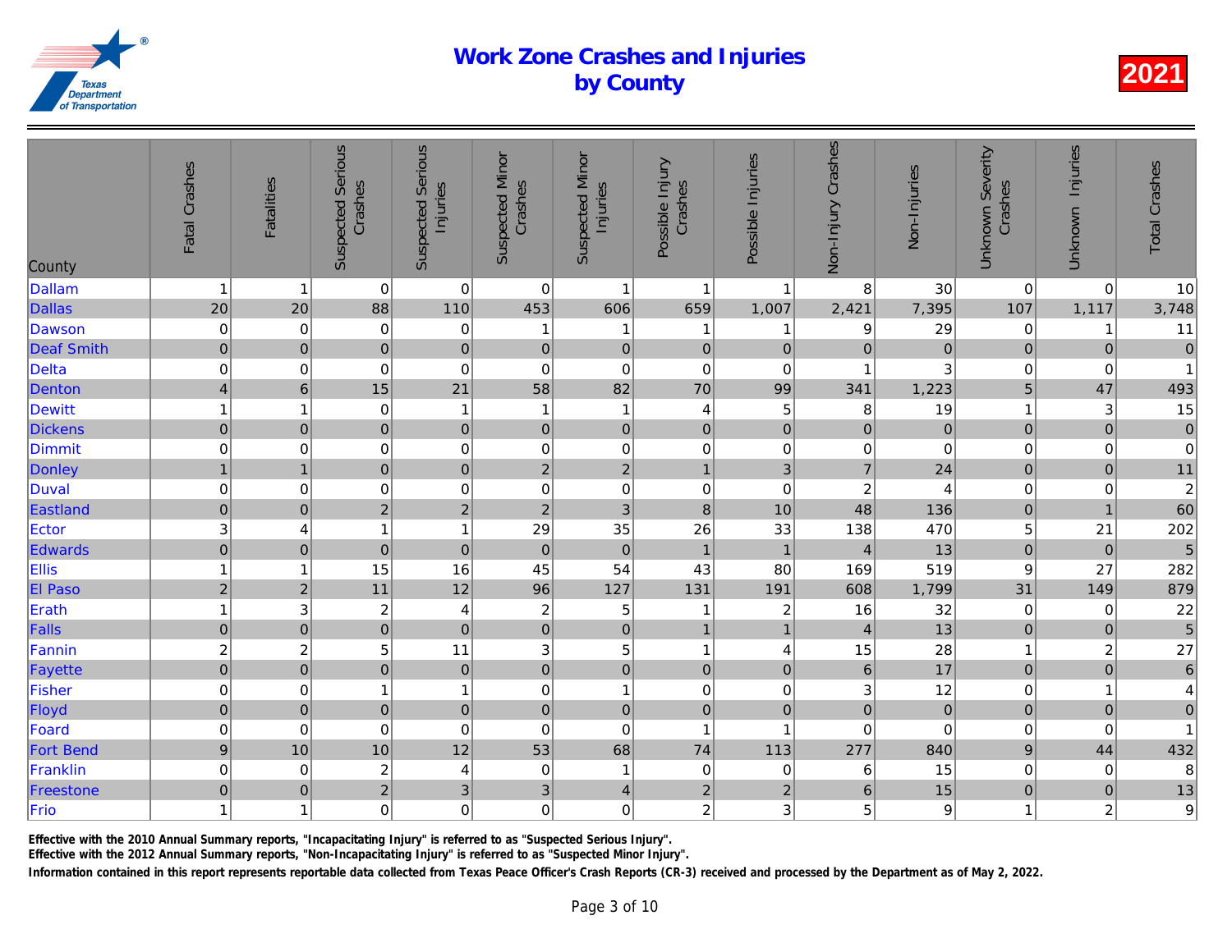| County            | Fatal Crashes             | <b>Fatalities</b>       | <b>Suspected Serious</b><br>Crashes | <b>Suspected Serious</b><br>Injuries | <b>Suspected Minor</b><br>Crashes | <b>Suspected Minor</b><br>Injuries | Possible Injury<br>Crashes | Possible Injuries | Non-Injury Crashes | Non-Injuries   |
|-------------------|---------------------------|-------------------------|-------------------------------------|--------------------------------------|-----------------------------------|------------------------------------|----------------------------|-------------------|--------------------|----------------|
| <b>Dallam</b>     | $\mathbf{1}$              | $\overline{1}$          | $\pmb{0}$                           | $\mathbf 0$                          | $\mathbf 0$                       | $\mathbf{1}$                       | $\mathbf{1}$               | $\overline{1}$    | 8                  | 30             |
| <b>Dallas</b>     | 20                        | 20                      | 88                                  | 110                                  | 453                               | 606                                | 659                        | 1,007             | 2,421              | 7,395          |
| Dawson            | $\mathsf{O}\xspace$       | $\mathbf 0$             | $\mathbf 0$                         | $\,0\,$                              | 1                                 | 1                                  | $\mathbf 1$                | -1                | 9                  | 29             |
| <b>Deaf Smith</b> | $\pmb{0}$                 | $\pmb{0}$               | $\mathbf 0$                         | $\mathbf 0$                          | $\pmb{0}$                         | $\mathbf 0$                        | $\mathbf 0$                | $\pmb{0}$         | $\mathbf 0$        | $\overline{0}$ |
| <b>Delta</b>      | $\mathbf 0$               | $\mathbf 0$             | $\mathbf 0$                         | $\mathbf 0$                          | $\boldsymbol{0}$                  | $\mathbf 0$                        | $\mathbf 0$                | $\pmb{0}$         | -1                 | $\overline{3}$ |
| Denton            | $\overline{\mathbf{4}}$   | $6\phantom{1}$          | 15                                  | 21                                   | 58                                | 82                                 | 70                         | 99                | 341                | 1,223          |
| <b>Dewitt</b>     | $\mathbf{1}$              | 1                       | $\mathbf 0$                         | $\mathbf{1}$                         | $\overline{1}$                    | $\mathbf{1}$                       | 4                          | $\mathbf 5$       | 8                  | 19             |
| <b>Dickens</b>    | $\mathbf 0$               | $\pmb{0}$               | $\overline{0}$                      | $\mathbf 0$                          | $\pmb{0}$                         | $\overline{0}$                     | $\mathbf 0$                | $\mathbf 0$       | $\mathbf 0$        | $\mathbf 0$    |
| Dimmit            | $\mathbf 0$               | $\mathbf 0$             | $\mathbf 0$                         | $\mathbf 0$                          | $\mathbf 0$                       | $\mathbf 0$                        | $\mathbf 0$                | $\pmb{0}$         | $\pmb{0}$          | $\overline{0}$ |
| Donley            | $\overline{1}$            | $\overline{1}$          | $\mathbf 0$                         | $\mathbf 0$                          | $\overline{2}$                    | $\overline{2}$                     | $\mathbf{1}$               | 3                 | $\overline{7}$     | 24             |
| Duval             | $\mathbf 0$               | 0                       | $\mathbf 0$                         | $\mathbf 0$                          | $\mathbf 0$                       | $\pmb{0}$                          | $\mathbf 0$                | $\mathbf 0$       | $\overline{c}$     | $\overline{4}$ |
| Eastland          | $\mathsf{O}\xspace$       | $\pmb{0}$               | $\overline{c}$                      | $\overline{c}$                       | $\boldsymbol{2}$                  | $\mathbf{3}$                       | $\bf8$                     | 10                | 48                 | 136            |
| Ector             | $\ensuremath{\mathsf{3}}$ | 4                       | 1                                   | $\mathbf{1}$                         | 29                                | 35                                 | 26                         | 33                | 138                | 470            |
| Edwards           | $\overline{0}$            | $\pmb{0}$               | $\mathbf 0$                         | $\mathbf 0$                          | $\mathbf 0$                       | $\mathbf 0$                        | $\mathbf{1}$               | $\mathbf{1}$      | $\overline{4}$     | 13             |
| Ellis             | $\mathbf{1}$              | $\overline{1}$          | 15                                  | 16                                   | 45                                | 54                                 | 43                         | 80                | 169                | 519            |
| El Paso           | $\overline{2}$            | $\overline{2}$          | 11                                  | 12                                   | 96                                | 127                                | 131                        | 191               | 608                | 1,799          |
| Erath             | $\mathbf{1}$              | 3                       | $\overline{c}$                      | 4                                    | $\overline{c}$                    | 5                                  | 1                          | $\overline{c}$    | 16                 | 32             |
| Falls             | $\mathbf 0$               | $\mathbf 0$             | $\overline{0}$                      | $\mathbf 0$                          | $\mathbf 0$                       | $\pmb{0}$                          | $\mathbf{1}$               | $\mathbf{1}$      | $\overline{4}$     | 13             |
| Fannin            | $\boldsymbol{2}$          | $\overline{\mathbf{c}}$ | $\mathbf 5$                         | 11                                   | $\ensuremath{\mathsf{3}}$         | $\,$ 5 $\,$                        | $\mathbf{1}$               | 4                 | 15                 | 28             |
| Fayette           | $\overline{0}$            | $\pmb{0}$               | $\mathbf 0$                         | $\mathbf 0$                          | $\mathbf 0$                       | $\pmb{0}$                          | $\mathbf 0$                | $\pmb{0}$         | $\overline{6}$     | 17             |
| Fisher            | $\mathbf 0$               | $\mathbf 0$             | 1                                   | $\mathbf{1}$                         | $\pmb{0}$                         | $\mathbf{1}$                       | $\mathbf 0$                | $\pmb{0}$         | 3                  | 12             |
| Floyd             | $\mathbf 0$               | $\pmb{0}$               | $\mathbf 0$                         | $\mathbf 0$                          | $\pmb{0}$                         | $\pmb{0}$                          | $\mathbf 0$                | $\mathbf 0$       | $\mathbf 0$        | $\mathbf 0$    |
| Foard             | $\mathbf 0$               | $\mathbf 0$             | $\mathbf 0$                         | $\mathbf 0$                          | $\mathbf 0$                       | $\mathbf 0$                        | $\mathbf{1}$               | $\overline{1}$    | $\mathbf 0$        | $\mathbf 0$    |
| <b>Fort Bend</b>  | $\boldsymbol{9}$          | 10                      | 10                                  | 12                                   | 53                                | 68                                 | 74                         | 113               | 277                | 840            |
| Franklin          | $\mbox{O}$                | $\mathbf 0$             | $\overline{c}$                      | 4                                    | $\mathbf 0$                       | $\mathbf{1}$                       | 0                          | $\pmb{0}$         | 6                  | 15             |
| Freestone         | $\mathbf 0$               | $\pmb{0}$               | $\overline{2}$                      | $\overline{3}$                       | $\ensuremath{\mathsf{3}}$         | $\overline{4}$                     | $\overline{c}$             | $\mathbf 2$       | $\boldsymbol{6}$   | 15             |
| Frio              | $\mathbf{1}$              | 1                       | $\mathbf 0$                         | $\mathbf 0$                          | $\mathbf 0$                       | $\mathbf 0$                        | $\overline{a}$             | 3                 | 5                  | $\mathbf{9}$   |

Effective with the 2010 Annual Summary reports, "Incapacitating Injury" is referred to as "Suspected Serious Injury".

Effective with the 2012 Annual Summary reports, "Non-Incapacitating Injury" is referred to as "Suspected Minor Injury".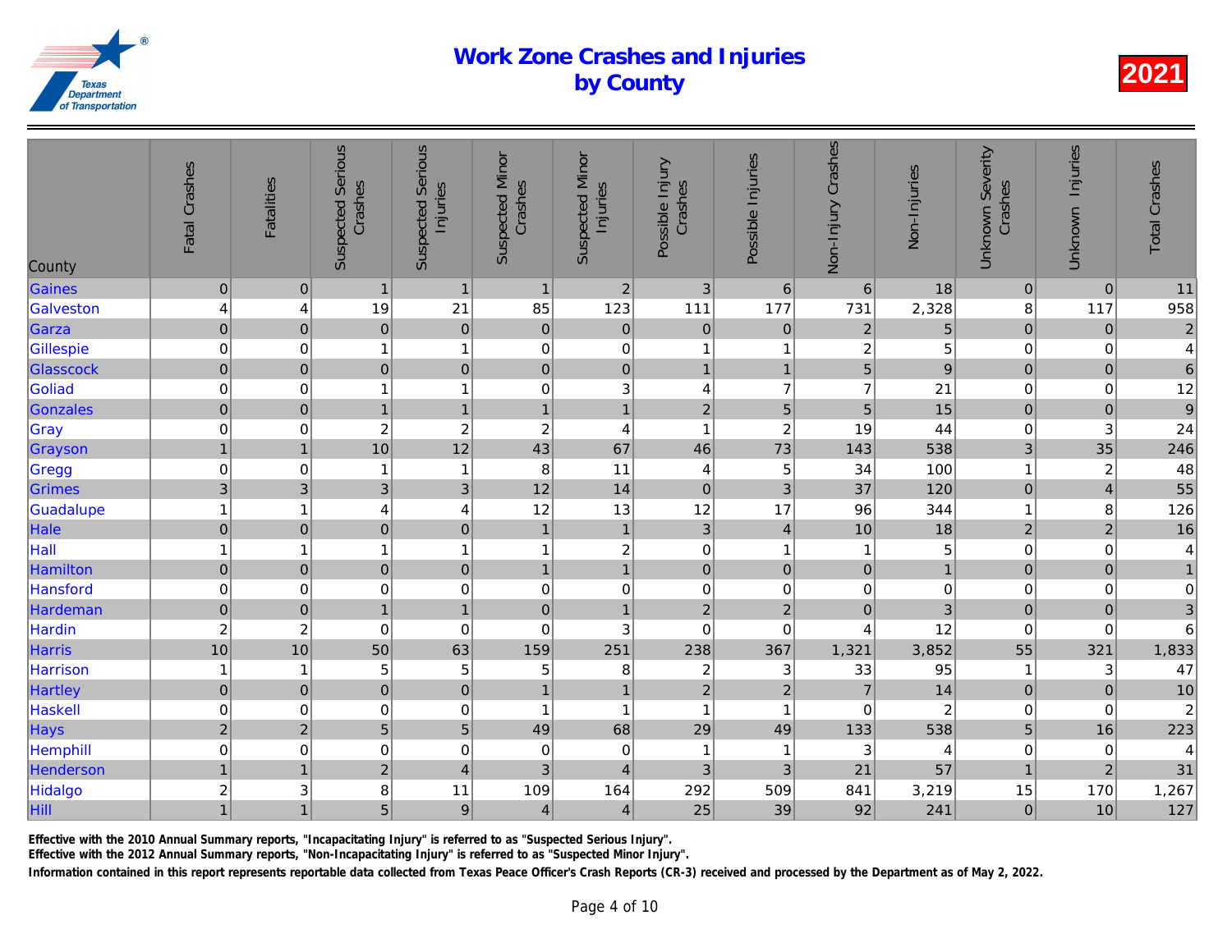| County          | Fatal Crashes       | <b>Fatalities</b> | <b>Suspected Serious</b><br>Crashes | <b>Suspected Serious</b><br>Injuries | <b>Suspected Minor</b><br>Crashes | <b>Suspected Minor</b><br>Injuries | Possible Injury<br>Crashes | Possible Injuries | Non-Injury Crashes | Non-Injuries    |
|-----------------|---------------------|-------------------|-------------------------------------|--------------------------------------|-----------------------------------|------------------------------------|----------------------------|-------------------|--------------------|-----------------|
| Gaines          | $\pmb{0}$           | $\mathbf 0$       | $\mathbf{1}$                        | $\mathbf{1}$                         | $\mathbf{1}$                      | $\overline{2}$                     | $\mathbf{3}$               | $6\phantom{1}6$   | $\,6\,$            | 18              |
| Galveston       | 4                   | 4                 | 19                                  | 21                                   | 85                                | 123                                | 111                        | 177               | 731                | 2,328           |
| Garza           | $\mathsf{O}\xspace$ | $\mathbf 0$       | $\pmb{0}$                           | $\pmb{0}$                            | $\mathbf 0$                       | $\mathbf 0$                        | $\pmb{0}$                  | $\mathbf 0$       | $\sqrt{2}$         | $\overline{5}$  |
| Gillespie       | $\mbox{O}$          | 0                 | 1                                   | $\mathbf{1}$                         | $\mathbf 0$                       | $\pmb{0}$                          | 1                          | $\overline{1}$    | $\overline{c}$     | $5\overline{a}$ |
| Glasscock       | $\mathbf 0$         | $\pmb{0}$         | $\mathbf 0$                         | $\mathbf 0$                          | $\mathbf 0$                       | $\pmb{0}$                          | $\overline{1}$             | $\overline{1}$    | $\overline{5}$     | $\overline{9}$  |
| Goliad          | $\mbox{O}$          | $\mathbf 0$       | $\mathbf 1$                         | $\mathbf{1}$                         | $\pmb{0}$                         | 3 <sup>1</sup>                     | $\overline{\mathbf{4}}$    | $\overline{7}$    | $\overline{7}$     | 21              |
| Gonzales        | $\mathsf{O}\xspace$ | $\pmb{0}$         | $\overline{1}$                      | $\mathbf{1}$                         | $\overline{1}$                    | $\mathbf{1}$                       | $\mathbf 2$                | $\overline{5}$    | 5                  | 15              |
| Gray            | $\mathsf{O}\xspace$ | 0                 | $\overline{\mathbf{c}}$             | $\boldsymbol{2}$                     | $\sqrt{2}$                        | $\overline{4}$                     | $\mathbf{1}$               | $\boldsymbol{2}$  | 19                 | 44              |
| Grayson         | $\mathbf{1}$        | $\mathbf{1}$      | 10                                  | 12                                   | 43                                | 67                                 | 46                         | 73                | 143                | 538             |
| Gregg           | $\mathbf 0$         | $\mathbf 0$       | -1                                  | $\mathbf{1}$                         | 8                                 | 11                                 | 4                          | 5                 | 34                 | 100             |
| Grimes          | $\mathfrak{S}$      | 3                 | 3 <sup>1</sup>                      | 3                                    | 12                                | 14                                 | $\mathbf 0$                | 3                 | 37                 | 120             |
| Guadalupe       | $\mathbf{1}$        | 1                 | 4                                   | $\overline{\mathbf{4}}$              | 12                                | 13                                 | 12                         | 17                | 96                 | 344             |
| Hale            | $\mathsf{O}\xspace$ | $\pmb{0}$         | $\pmb{0}$                           | $\mathbf 0$                          | $\mathbf{1}$                      | $\mathbf{1}$                       | $\mathbf{3}$               | $\overline{4}$    | 10                 | 18              |
| Hall            | $\mathbf{1}$        | $\overline{1}$    | 1                                   | $\mathbf{1}$                         | $\mathbf{1}$                      | $\boldsymbol{2}$                   | $\mathbf 0$                | $\mathbf{1}$      | 1                  | $5\overline{a}$ |
| Hamilton        | $\mathsf{O}\xspace$ | $\pmb{0}$         | $\pmb{0}$                           | $\mathbf 0$                          | $\overline{1}$                    | $\overline{1}$                     | $\mathbf 0$                | $\pmb{0}$         | $\mathbf 0$        | $\overline{1}$  |
| Hansford        | $\mathbf 0$         | $\mathbf 0$       | $\mathbf 0$                         | $\mathbf 0$                          | $\pmb{0}$                         | $\mathbf 0$                        | $\mathbf 0$                | $\pmb{0}$         | $\pmb{0}$          | $\overline{0}$  |
| Hardeman        | $\mathbf 0$         | $\pmb{0}$         | $\overline{1}$                      | $\mathbf{1}$                         | $\pmb{0}$                         | $\overline{1}$                     | $\mathbf 2$                | $\mathbf 2$       | $\pmb{0}$          | $\overline{3}$  |
| Hardin          | $\boldsymbol{2}$    | $\overline{c}$    | $\mathbf 0$                         | $\mathbf 0$                          | $\mathbf 0$                       | 3                                  | $\mathbf 0$                | $\pmb{0}$         | $\overline{4}$     | 12              |
| Harris          | 10                  | 10                | 50                                  | 63                                   | 159                               | 251                                | 238                        | 367               | 1,321              | 3,852           |
| Harrison        | $\mathbf{1}$        | $\overline{1}$    | 5                                   | 5                                    | 5                                 | 8                                  | $\overline{\mathbf{c}}$    | $\sqrt{3}$        | 33                 | 95              |
| <b>Hartley</b>  | $\mathsf{O}\xspace$ | $\pmb{0}$         | $\mathbf 0$                         | $\overline{0}$                       | $\overline{1}$                    | $\mathbf{1}$                       | $\overline{2}$             | $\overline{2}$    | $\overline{7}$     | 14              |
| Haskell         | $\mathbf 0$         | $\mathbf 0$       | $\mathbf 0$                         | $\mbox{O}$                           | $\overline{1}$                    | $\overline{1}$                     | $\mathbf{1}$               | $\overline{1}$    | $\mathbf 0$        | $\overline{c}$  |
| Hays            | $\overline{2}$      | $\overline{2}$    | 5 <sup>1</sup>                      | 5                                    | 49                                | 68                                 | 29                         | 49                | 133                | 538             |
| <b>Hemphill</b> | $\mathbf 0$         | $\mathbf 0$       | 0                                   | $\mathbf 0$                          | $\mathbf 0$                       | $\mathbf 0$                        | 1                          | $\overline{1}$    | 3                  | $\overline{4}$  |
| Henderson       | $\overline{1}$      | $\overline{1}$    | $\overline{2}$                      | $\overline{4}$                       | $\mathbf{3}$                      | $\overline{4}$                     | 3                          | 3                 | 21                 | 57              |
| Hidalgo         | $\boldsymbol{2}$    | 3                 | $\bf 8$                             | 11                                   | 109                               | 164                                | 292                        | 509               | 841                | 3,219           |
| Hill            | $\overline{1}$      | $\overline{1}$    | 5                                   | $\boldsymbol{9}$                     | 4                                 | $\overline{4}$                     | 25                         | 39                | 92                 | 241             |
|                 |                     |                   |                                     |                                      |                                   |                                    |                            |                   |                    |                 |

Effective with the 2010 Annual Summary reports, "Incapacitating Injury" is referred to as "Suspected Serious Injury".

Effective with the 2012 Annual Summary reports, "Non-Incapacitating Injury" is referred to as "Suspected Minor Injury".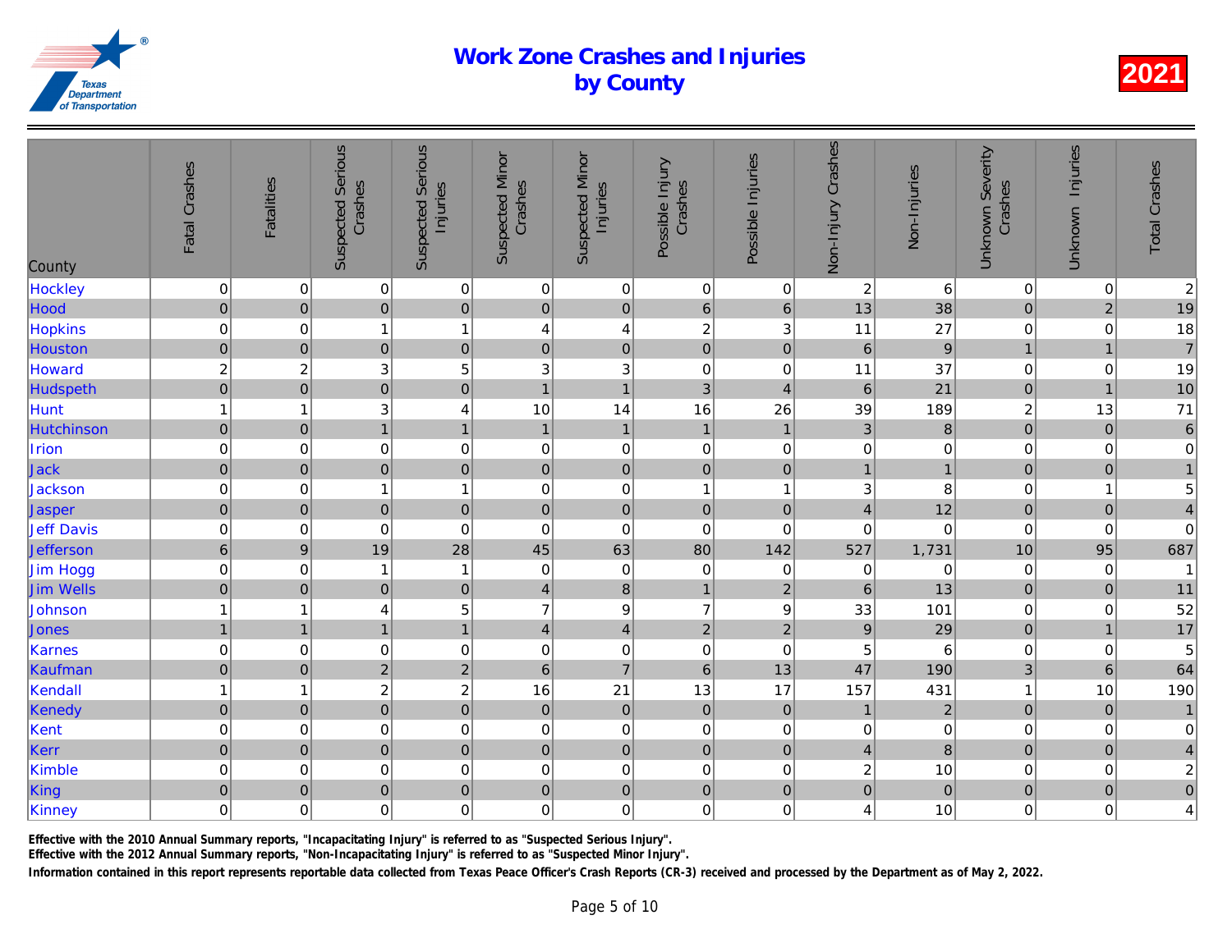| County           | Fatal Crashes           | <b>Fatalities</b> | <b>Suspected Serious</b><br>Crashes | <b>Suspected Serious</b><br>Injuries | <b>Suspected Minor</b><br>Crashes | <b>Suspected Minor</b><br>Injuries | Possible Injury<br>Crashes | Possible Injuries | Non-Injury Crashes | Non-Injuries   |
|------------------|-------------------------|-------------------|-------------------------------------|--------------------------------------|-----------------------------------|------------------------------------|----------------------------|-------------------|--------------------|----------------|
| Hockley          | $\boldsymbol{0}$        | $\mathbf 0$       | $\pmb{0}$                           | $\mathbf 0$                          | 0                                 | $\overline{0}$                     | $\mathbf 0$                | $\mathbf 0$       | $\sqrt{2}$         | 6              |
| Hood             | $\mathbf 0$             | $\pmb{0}$         | $\mathbf 0$                         | $\pmb{0}$                            | $\pmb{0}$                         | $\overline{0}$                     | $\,$ 6 $\,$                | $\,$ 6 $\,$       | 13                 | 38             |
| Hopkins          | $\mathsf{O}\xspace$     | $\mathbf 0$       | 1                                   | $\mathbf{1}$                         | 4                                 | $\overline{\mathbf{r}}$            | $\boldsymbol{2}$           | 3                 | 11                 | 27             |
| Houston          | $\overline{0}$          | $\pmb{0}$         | $\overline{0}$                      | $\mathbf 0$                          | $\pmb{0}$                         | $\mathbf 0$                        | $\overline{0}$             | $\pmb{0}$         | $\,6\,$            | $\overline{9}$ |
| Howard           | $\overline{\mathbf{c}}$ | $\overline{c}$    | 3                                   | 5                                    | 3                                 | $\mathbf{3}$                       | $\mathbf 0$                | $\boldsymbol{0}$  | 11                 | 37             |
| Hudspeth         | $\overline{0}$          | $\overline{0}$    | $\overline{0}$                      | $\overline{0}$                       | $\overline{1}$                    | $\overline{1}$                     | $\overline{3}$             | $\overline{4}$    | $6 \overline{6}$   | 21             |
| Hunt             | $\mathbf{1}$            | $\overline{1}$    | 3                                   | $\overline{\mathbf{4}}$              | 10                                | 14                                 | 16                         | 26                | 39                 | 189            |
| Hutchinson       | $\mathbf 0$             | $\mathbf 0$       | $\overline{1}$                      | $\mathbf{1}$                         | $\mathbf{1}$                      | $\mathbf{1}$                       | $\mathbf{1}$               | $\mathbf{1}$      | $\overline{3}$     | $\bf{8}$       |
| Irion            | $\mathbf 0$             | $\mathbf 0$       | $\mathbf 0$                         | $\mathbf 0$                          | $\mathbf 0$                       | $\pmb{0}$                          | 0                          | $\pmb{0}$         | $\pmb{0}$          | $\overline{0}$ |
| Jack             | $\pmb{0}$               | $\pmb{0}$         | $\mathbf 0$                         | $\mathbf 0$                          | $\mathbf 0$                       | $\pmb{0}$                          | $\mathbf 0$                | $\mathbf 0$       | $\mathbf{1}$       | $\overline{1}$ |
| Jackson          | $\mathbf 0$             | $\mathbf 0$       | $\mathbf{1}$                        | $\mathbf{1}$                         | $\pmb{0}$                         | $\pmb{0}$                          | $\mathbf{1}$               | $\mathbf 1$       | 3                  | 8              |
| Jasper           | $\pmb{0}$               | $\mathbf 0$       | $\mathbf 0$                         | $\mathbf 0$                          | $\mathbf 0$                       | $\pmb{0}$                          | $\mathbf 0$                | $\mathbf 0$       | $\overline{4}$     | 12             |
| Jeff Davis       | $\mathsf{O}\xspace$     | $\pmb{0}$         | $\mathbf 0$                         | $\mathbf 0$                          | $\pmb{0}$                         | $\pmb{0}$                          | $\mathbf 0$                | $\pmb{0}$         | $\mathbf 0$        | $\mathbf 0$    |
| Jefferson        | $\overline{6}$          | $\boldsymbol{9}$  | 19                                  | 28                                   | 45                                | 63                                 | 80                         | 142               | 527                | 1,731          |
| Jim Hogg         | $\mathbf 0$             | $\pmb{0}$         | $\overline{1}$                      | $\mathbf{1}$                         | $\pmb{0}$                         | $\pmb{0}$                          | $\mathbf 0$                | $\pmb{0}$         | $\mathbf 0$        | $\overline{0}$ |
| <b>Jim Wells</b> | $\overline{0}$          | $\pmb{0}$         | $\mathbf 0$                         | $\mathbf 0$                          | $\overline{4}$                    | $\bf8$                             | $\mathbf{1}$               | $\overline{2}$    | $6\phantom{1}$     | 13             |
| Johnson          | $\mathbf{1}$            | 1                 | 4                                   | 5                                    | $\overline{7}$                    | $\boldsymbol{9}$                   | $\overline{7}$             | $\boldsymbol{9}$  | 33                 | 101            |
| Jones            | $\mathbf{1}$            | $\mathbf{1}$      | $\mathbf{1}$                        | $\mathbf{1}$                         | $\overline{4}$                    | $\vert 4 \vert$                    | $\mathbf 2$                | $\overline{2}$    | $\boldsymbol{9}$   | 29             |
| Karnes           | $\mathsf{O}\xspace$     | $\pmb{0}$         | $\pmb{0}$                           | $\mathbf 0$                          | $\pmb{0}$                         | $\pmb{0}$                          | $\mathbf 0$                | $\pmb{0}$         | 5                  | 6              |
| Kaufman          | $\mathbf 0$             | $\pmb{0}$         | $\overline{2}$                      | $\overline{c}$                       | $\,$ 6 $\,$                       | $\overline{7}$                     | $\boldsymbol{6}$           | 13                | 47                 | 190            |
| Kendal           | $\overline{1}$          | 1                 | $\overline{c}$                      | $\overline{\mathbf{c}}$              | 16                                | 21                                 | 13                         | 17                | 157                | 431            |
| Kenedy           | $\mathsf{O}\xspace$     | $\pmb{0}$         | $\overline{0}$                      | $\overline{0}$                       | $\pmb{0}$                         | $\overline{0}$                     | $\mathbf 0$                | $\mathbf 0$       | $\mathbf{1}$       | $\overline{a}$ |
| Kent             | $\mathbf 0$             | $\mathbf 0$       | $\mathbf 0$                         | $\mathbf 0$                          | 0                                 | $\pmb{0}$                          | $\mathbf 0$                | $\pmb{0}$         | $\mathbf 0$        | $\mathbf 0$    |
| Kerr             | $\mathbf 0$             | $\mathbf{0}$      | $\overline{0}$                      | $\mathbf 0$                          | $\pmb{0}$                         | $\pmb{0}$                          | $\mathbf 0$                | $\pmb{0}$         | $\overline{4}$     | $\bf{8}$       |
| Kimble           | $\mbox{O}$              | $\mathbf 0$       | $\mathbf 0$                         | $\mathbf 0$                          | $\pmb{0}$                         | $\mathbf 0$                        | $\mathbf 0$                | $\pmb{0}$         | $\overline{c}$     | 10             |
| King             | $\overline{0}$          | $\pmb{0}$         | $\mathbf 0$                         | $\overline{0}$                       | $\mathbf 0$                       | $\overline{0}$                     | $\pmb{0}$                  | $\mathbf 0$       | $\pmb{0}$          | $\overline{0}$ |
| Kinney           | $\mathbf 0$             | 0                 | $\mathbf 0$                         | $\mathbf 0$                          | $\mathbf 0$                       | $\mathbf 0$                        | $\mathbf 0$                | $\mathbf 0$       | 4                  | 10             |
|                  |                         |                   |                                     |                                      |                                   |                                    |                            |                   |                    |                |

Effective with the 2010 Annual Summary reports, "Incapacitating Injury" is referred to as "Suspected Serious Injury".

Effective with the 2012 Annual Summary reports, "Non-Incapacitating Injury" is referred to as "Suspected Minor Injury".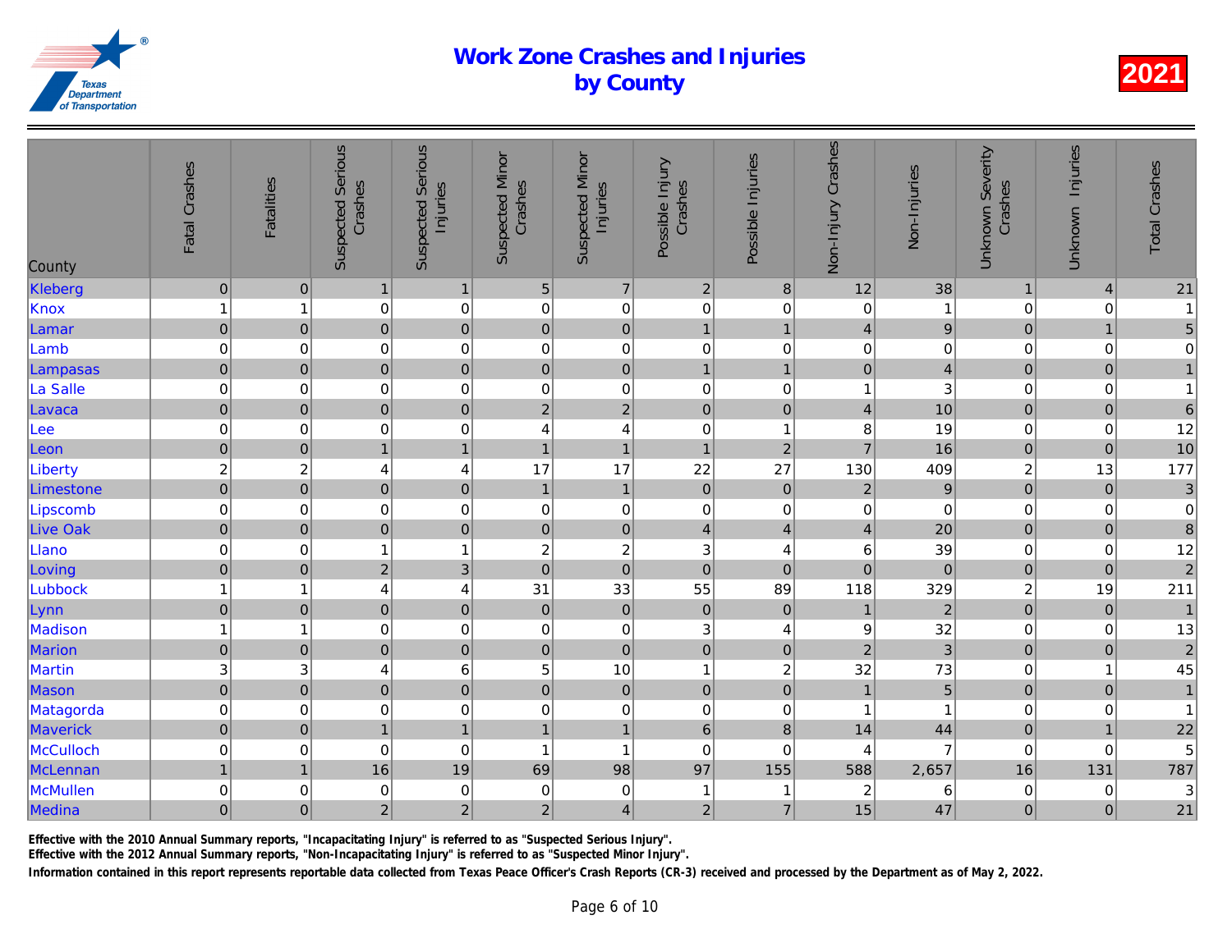| County          | Fatal Crashes  | <b>Fatalities</b> | <b>Suspected Serious</b><br>Crashes | <b>Suspected Serious</b><br>Injuries | <b>Suspected Minor</b><br>Crashes | <b>Suspected Minor</b><br>Injuries | Possible Injury<br>Crashes | Possible Injuries       | Non-Injury Crashes      | Non-Injuries   |
|-----------------|----------------|-------------------|-------------------------------------|--------------------------------------|-----------------------------------|------------------------------------|----------------------------|-------------------------|-------------------------|----------------|
| Kleberg         | $\pmb{0}$      | $\boldsymbol{0}$  | $\mathbf{1}$                        | $\mathbf{1}$                         | 5                                 | $\overline{\mathcal{I}}$           | $\overline{2}$             | $\boldsymbol{8}$        | 12                      | 38             |
| Knox            | $\mathbf{1}$   | 1                 | $\,0\,$                             | $\pmb{0}$                            | $\,0\,$                           | $\pmb{0}$                          | $\boldsymbol{0}$           | 0                       | $\mathbf 0$             | $\mathbf{1}$   |
| Lamar           | $\overline{0}$ | $\mathbf{0}$      | $\mathbf 0$                         | $\mathbf 0$                          | $\pmb{0}$                         | $\mathsf{O}\xspace$                | $\mathbf{1}$               | $\mathbf{1}$            | 4                       | $\overline{9}$ |
| Lamb            | $\mathbf 0$    | 0                 | 0                                   | $\mathbf 0$                          | 0                                 | $\pmb{0}$                          | $\boldsymbol{0}$           | 0                       | 0                       | $\overline{0}$ |
| Lampasas        | $\pmb{0}$      | $\pmb{0}$         | $\overline{0}$                      | $\mathbf 0$                          | $\overline{0}$                    | $\mathbf 0$                        | $\mathbf{1}$               | $\overline{1}$          | $\overline{0}$          | $\overline{a}$ |
| La Salle        | $\mathbf 0$    | 0                 | $\mathbf 0$                         | $\mathbf 0$                          | 0                                 | $\mathbf 0$                        | $\pmb{0}$                  | $\pmb{0}$               | 1                       | $\overline{3}$ |
| Lavaca          | $\mathbf 0$    | $\pmb{0}$         | $\overline{0}$                      | $\overline{0}$                       | $\overline{c}$                    | $\overline{2}$                     | $\mathbf 0$                | $\mathbf 0$             | $\overline{4}$          | 10             |
| Lee             | $\mathbf 0$    | $\mathbf 0$       | $\mathbf 0$                         | $\boldsymbol{0}$                     | 4                                 | $\overline{4}$                     | $\pmb{0}$                  | $\overline{\mathbf{1}}$ | 8                       | 19             |
| Leon            | $\mathbf 0$    | $\pmb{0}$         | $\mathbf{1}$                        | $\mathbf{1}$                         | $\mathbf{1}$                      | $\mathbf{1}$                       | $\mathbf{1}$               | $\overline{2}$          | $\overline{7}$          | 16             |
| Liberty         | $\overline{c}$ | $\boldsymbol{2}$  | 4                                   | $\overline{\mathbf{4}}$              | 17                                | 17                                 | 22                         | 27                      | 130                     | 409            |
| Limestone       | $\overline{0}$ | $\mathbf 0$       | $\overline{0}$                      | $\mathbf 0$                          | $\mathbf{1}$                      | $\overline{1}$                     | $\overline{0}$             | $\pmb{0}$               | $\overline{2}$          | $\overline{9}$ |
| Lipscomb        | $\mathbf 0$    | $\,0\,$           | $\mathbf 0$                         | $\mathbf 0$                          | $\mathbf 0$                       | $\mathbf 0$                        | $\pmb{0}$                  | $\,0\,$                 | $\pmb{0}$               | $\overline{0}$ |
| <b>Live Oak</b> | $\overline{0}$ | $\pmb{0}$         | $\mathbf 0$                         | $\pmb{0}$                            | $\pmb{0}$                         | $\mathbf 0$                        | $\overline{\mathbf{4}}$    | $\overline{4}$          | $\overline{4}$          | 20             |
| Llano           | $\mathbf 0$    | 0                 | $\mathbf{1}$                        | $\mathbf{1}$                         | $\overline{\mathbf{c}}$           | $\sqrt{2}$                         | $\sqrt{3}$                 | 4                       | 6                       | 39             |
| Loving          | $\pmb{0}$      | $\pmb{0}$         | $\overline{2}$                      | 3                                    | $\mathbf 0$                       | $\overline{0}$                     | $\mathbf 0$                | $\pmb{0}$               | $\mathbf 0$             | $\mathbf 0$    |
| Lubbock         | $\mathbf{1}$   | 1                 | 4                                   | $\overline{4}$                       | 31                                | 33                                 | 55                         | 89                      | 118                     | 329            |
| Lynn            | $\mathbf 0$    | $\pmb{0}$         | $\mathbf 0$                         | $\mathbf 0$                          | $\pmb{0}$                         | $\pmb{0}$                          | $\pmb{0}$                  | $\pmb{0}$               | $\mathbf{1}$            | $\overline{a}$ |
| Madison         | $\mathbf{1}$   | 1                 | $\mathbf 0$                         | $\mathbf 0$                          | 0                                 | $\pmb{0}$                          | $\sqrt{3}$                 | 4                       | $\boldsymbol{9}$        | 32             |
| Marion          | $\mathbf 0$    | $\pmb{0}$         | $\pmb{0}$                           | $\mathbf 0$                          | $\mathsf 0$                       | $\mathbf 0$                        | $\pmb{0}$                  | $\pmb{0}$               | $\overline{c}$          | $\overline{3}$ |
| Martin          | 3              | 3                 | 4                                   | $\,6$                                | 5                                 | 10                                 | $\mathbf{1}$               | $\overline{\mathbf{c}}$ | 32                      | 73             |
| Mason           | $\overline{0}$ | $\mathbf 0$       | $\overline{0}$                      | $\overline{0}$                       | $\overline{0}$                    | $\mathbf 0$                        | $\mathbf 0$                | $\overline{0}$          | $\mathbf{1}$            | $\overline{5}$ |
| Matagorda       | $\mathbf 0$    | 0                 | $\mathbf 0$                         | $\mathbf 0$                          | 0                                 | $\pmb{0}$                          | $\pmb{0}$                  | 0                       | 1                       | 1              |
| Maverick        | $\mathbf 0$    | $\mathbf 0$       | $\overline{1}$                      | $\mathbf{1}$                         | $\mathbf{1}$                      | $\mathbf{1}$                       | $6\phantom{1}6$            | 8                       | 14                      | 44             |
| McCulloch       | $\pmb{0}$      | 0                 | $\pmb{0}$                           | $\mathbf 0$                          | $\overline{1}$                    | $\mathbf{1}$                       | $\mathbf 0$                | 0                       | 4                       | $\overline{7}$ |
| McLennan        | $\mathbf{1}$   | $\overline{1}$    | 16                                  | 19                                   | 69                                | 98                                 | 97                         | 155                     | 588                     | 2,657          |
| McMullen        | $\mathbf 0$    | $\,0\,$           | $\pmb{0}$                           | $\pmb{0}$                            | $\,0\,$                           | $\,0\,$                            | $\mathbf{1}$               | -1                      | $\overline{\mathbf{c}}$ | 6              |
| Medina          | $\overline{0}$ | $\mathbf 0$       | $\overline{2}$                      | $\mathbf{2}$                         | $\overline{c}$                    | $\overline{\mathbf{4}}$            | $\overline{2}$             | $\overline{7}$          | 15                      | 47             |
|                 |                |                   |                                     |                                      |                                   |                                    |                            |                         |                         |                |

Effective with the 2010 Annual Summary reports, "Incapacitating Injury" is referred to as "Suspected Serious Injury".

Effective with the 2012 Annual Summary reports, "Non-Incapacitating Injury" is referred to as "Suspected Minor Injury".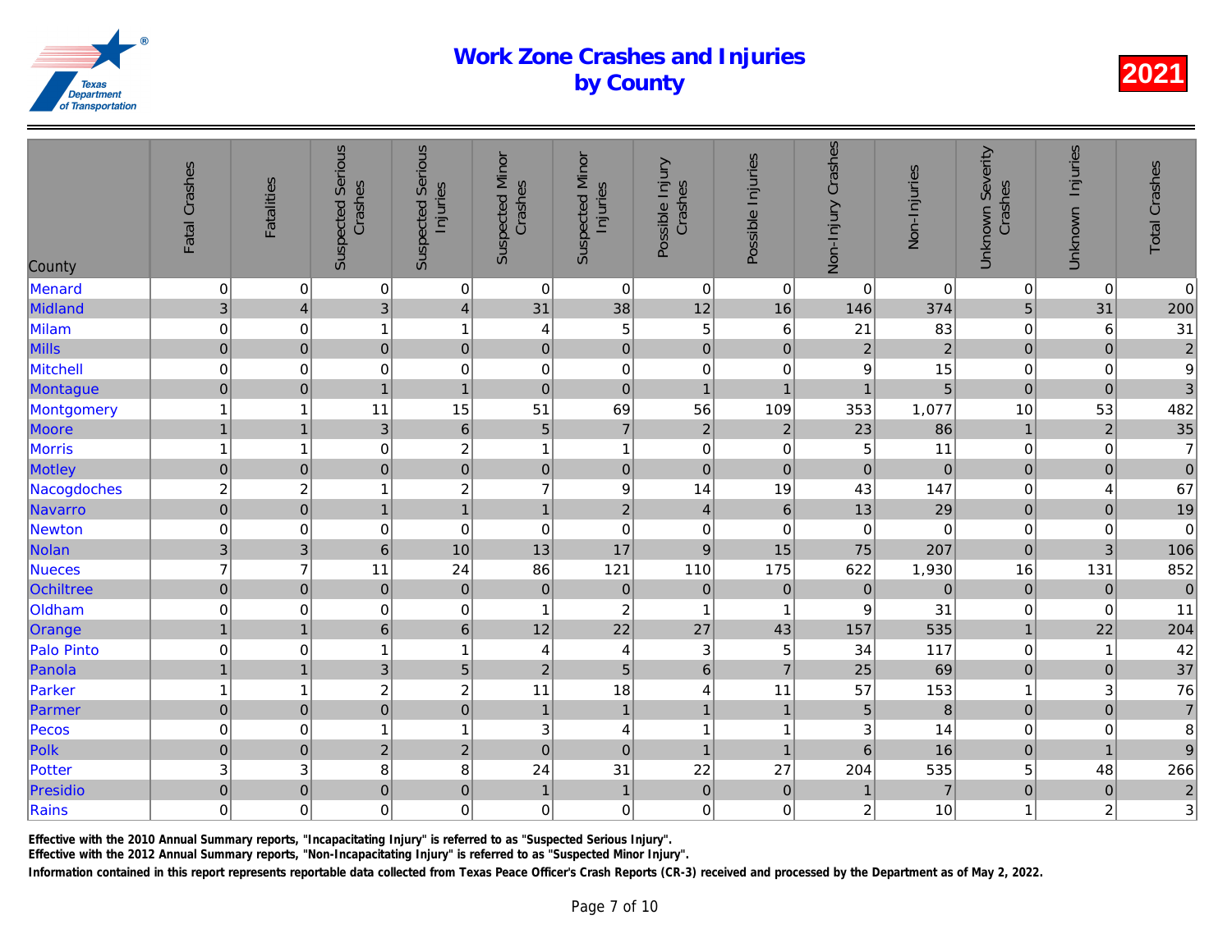| $\boldsymbol{0}$<br>$\overline{0}$<br>$\pmb{0}$<br>0 <sup>1</sup><br>$\boldsymbol{0}$<br>Menard<br>$\mathbf 0$<br>$\mathbf 0$<br>$\mathbf 0$<br>$\mathbf 0$<br>$\overline{3}$<br>Midland<br>$\overline{3}$<br>$\overline{\mathbf{4}}$<br>31<br>38<br>12<br>16<br>146<br>4<br>$\mathbf 0$<br>$\mathbf 5$<br>Milam<br>$\mathbf 5$<br>21<br>0<br>$\mathbf{1}$<br>6<br>1<br>4<br>$\mathbf 0$<br>$\overline{a}$<br>$\mathbf 0$<br>$\mathbf 0$<br>Mills<br>$\mathbf 0$<br>$\overline{2}$<br>$\pmb{0}$<br>$\overline{0}$<br>$\pmb{0}$<br>$\pmb{0}$<br>$\mbox{O}$<br>$\mathbf 0$<br>$\mathbf 0$<br>Mitchell<br>$\mathbf 0$<br>$\pmb{0}$<br>$\mathbf 0$<br>9<br>$\mathbf 0$<br>$\pmb{0}$<br>$\mathbf 0$<br>$\mathbf 0$<br>$\mathbf 0$<br>$\mathbf{1}$<br>$\pmb{0}$<br>$\overline{1}$<br>Montague<br>$\overline{1}$<br>$\overline{1}$<br>$\overline{1}$<br>15<br>69<br>$\mathbf{1}$<br>11<br>51<br>56<br>109<br>353<br>1,077<br>Montgomery<br>1<br>$\overline{7}$<br>$\overline{6}$<br>$\mathbf 2$<br>Moore<br>$\mathbf{1}$<br>$\overline{3}$<br>$\overline{5}$<br>$\overline{2}$<br>23<br>$\mathbf{1}$<br>$\overline{\mathbf{c}}$<br>Morris<br>$\mathbf{1}$<br>$\mathbf 0$<br>5<br>$\mathbf 0$<br>$\mathbf{1}$<br>0<br>$\overline{1}$<br>$\mathbf{1}$<br>$\overline{0}$<br>$\mathbf 0$<br>$\overline{0}$<br>$\overline{0}$<br>$\mathbf 0$<br>$\mathbf 0$<br>$\pmb{0}$<br>$\pmb{0}$<br>$\pmb{0}$<br>Motley<br>$\boldsymbol{2}$<br>$\overline{2}$<br>$\overline{7}$<br> 9 <br>14<br>19<br>$\overline{c}$<br>43<br>Nacogdoches<br>$\mathbf 1$<br>$\overline{0}$<br>$\overline{2}$<br>$\mathbf{1}$<br>$\,$ 6 $\,$<br>Navarro<br>$\pmb{0}$<br>$\mathbf{1}$<br>$\overline{\mathbf{4}}$<br>13<br>$\overline{1}$<br>$\mathbf 0$<br>Newton<br>$\mathbf 0$<br>$\mbox{O}$<br>$\mathbf 0$<br>$\pmb{0}$<br>$\overline{0}$<br>$\mathbf 0$<br>$\boldsymbol{0}$<br>$\mathbf 0$<br>$\overline{3}$<br>10<br>13<br>17<br>$\overline{9}$<br>3<br>6 <sup>1</sup><br>15<br>75<br>Nolan<br>$\overline{7}$<br>$\overline{7}$<br>121<br>110<br>175<br>11<br>24<br>86<br>622<br>Nueces<br>$\mathbf 0$<br>$\pmb{0}$<br>$\pmb{0}$<br>$\mathbf 0$<br>$\pmb{0}$<br>$\mathbf 0$<br>Ochiltree<br>$\pmb{0}$<br>$\mathbf 0$<br>$\mathbf 0$<br>Oldham<br>$\mathbf 0$<br>$\mbox{O}$<br>$\pmb{0}$<br>$\mathbf 0$<br>$\overline{c}$<br>$\boldsymbol{9}$<br>31<br>$\overline{1}$<br>$\mathbf{1}$<br>$\overline{1}$<br>$\mathbf{1}$<br>$\boldsymbol{6}$<br>22<br>$6 \mid$<br>12<br>27<br>157<br>Orange<br>$\mathbf{1}$<br>43<br>Palo Pinto<br>$\mathbf 0$<br>$\ensuremath{\mathsf{3}}$<br>$\mathbf 0$<br>1<br>5<br>34<br>$\overline{4}$<br>4<br>1<br>5<br>$\overline{5}$<br>$6\phantom{a}$<br>$\overline{1}$<br>3 <sup>1</sup><br>$\overline{7}$<br>$\overline{2}$<br>25<br>Panola<br>$\overline{1}$<br>$\overline{2}$<br>Parker<br>$\sqrt{2}$<br>18<br>57<br>$\mathbf{1}$<br>11<br>11<br>4<br>-1<br>$\overline{0}$<br>$\pmb{0}$<br>$\mathbf 0$<br>Parmer<br>$\pmb{0}$<br>$\mathbf{1}$<br>$\overline{1}$<br>5<br>$\mathbf{1}$<br>$\mathbf{1}$<br>Pecos<br>$\mathbf 0$<br>$\ensuremath{\mathsf{3}}$<br>3<br>0<br>$\mathbf{1}$<br>$\overline{4}$<br>$\mathbf{1}$<br>$\overline{1}$<br>1<br>$\overline{0}$<br>$\overline{2}$<br>$\overline{2}$<br>Polk<br>$\mathbf 0$<br>$\overline{0}$<br>$\mathbf 0$<br>$6\phantom{a}$<br>$\overline{1}$<br>$\mathbf{1}$<br>8<br>$\ensuremath{\mathsf{3}}$<br>24<br>31<br>22<br>27<br>204<br>Potter<br>3<br>8<br>$\pmb{0}$<br>$\pmb{0}$<br>$\pmb{0}$<br>$\mathbf 0$<br>$\mathbf{1}$<br>$\mathbf 0$<br>Presidio<br>$\mathbf{1}$<br>$\pmb{0}$<br>$\mathbf 1$<br>$\mathbf 0$<br>$\mathbf 0$<br>$\mathbf 0$<br>Rains<br>0<br>$\pmb{0}$<br>$\mathbf 0$<br>$\mathbf 0$<br>$\overline{c}$<br>0 | County | Fatal Crashes | <b>Fatalities</b> | <b>Suspected Serious</b><br>Crashes | <b>Suspected Serious</b><br>Injuries | <b>Suspected Minor</b><br>Crashes | <b>Suspected Minor</b><br>Injuries | Possible Injury<br>Crashes | Possible Injuries | Non-Injury Crashes | Non-Injuries   |
|-----------------------------------------------------------------------------------------------------------------------------------------------------------------------------------------------------------------------------------------------------------------------------------------------------------------------------------------------------------------------------------------------------------------------------------------------------------------------------------------------------------------------------------------------------------------------------------------------------------------------------------------------------------------------------------------------------------------------------------------------------------------------------------------------------------------------------------------------------------------------------------------------------------------------------------------------------------------------------------------------------------------------------------------------------------------------------------------------------------------------------------------------------------------------------------------------------------------------------------------------------------------------------------------------------------------------------------------------------------------------------------------------------------------------------------------------------------------------------------------------------------------------------------------------------------------------------------------------------------------------------------------------------------------------------------------------------------------------------------------------------------------------------------------------------------------------------------------------------------------------------------------------------------------------------------------------------------------------------------------------------------------------------------------------------------------------------------------------------------------------------------------------------------------------------------------------------------------------------------------------------------------------------------------------------------------------------------------------------------------------------------------------------------------------------------------------------------------------------------------------------------------------------------------------------------------------------------------------------------------------------------------------------------------------------------------------------------------------------------------------------------------------------------------------------------------------------------------------------------------------------------------------------------------------------------------------------------------------------------------------------------------------------------------------------------------------------------------------------------------------------------------------------------------------------------------------------------------------------------------------------------------------------------------------------------------------------------------------------------------------------------------------------------------------------------------------------------------------------------------------------------------------------------------------------------------------------------------------------------------------------------------------------------------------|--------|---------------|-------------------|-------------------------------------|--------------------------------------|-----------------------------------|------------------------------------|----------------------------|-------------------|--------------------|----------------|
|                                                                                                                                                                                                                                                                                                                                                                                                                                                                                                                                                                                                                                                                                                                                                                                                                                                                                                                                                                                                                                                                                                                                                                                                                                                                                                                                                                                                                                                                                                                                                                                                                                                                                                                                                                                                                                                                                                                                                                                                                                                                                                                                                                                                                                                                                                                                                                                                                                                                                                                                                                                                                                                                                                                                                                                                                                                                                                                                                                                                                                                                                                                                                                                                                                                                                                                                                                                                                                                                                                                                                                                                                                                                       |        |               |                   |                                     |                                      |                                   |                                    |                            |                   |                    | $\overline{0}$ |
|                                                                                                                                                                                                                                                                                                                                                                                                                                                                                                                                                                                                                                                                                                                                                                                                                                                                                                                                                                                                                                                                                                                                                                                                                                                                                                                                                                                                                                                                                                                                                                                                                                                                                                                                                                                                                                                                                                                                                                                                                                                                                                                                                                                                                                                                                                                                                                                                                                                                                                                                                                                                                                                                                                                                                                                                                                                                                                                                                                                                                                                                                                                                                                                                                                                                                                                                                                                                                                                                                                                                                                                                                                                                       |        |               |                   |                                     |                                      |                                   |                                    |                            |                   |                    | 374            |
|                                                                                                                                                                                                                                                                                                                                                                                                                                                                                                                                                                                                                                                                                                                                                                                                                                                                                                                                                                                                                                                                                                                                                                                                                                                                                                                                                                                                                                                                                                                                                                                                                                                                                                                                                                                                                                                                                                                                                                                                                                                                                                                                                                                                                                                                                                                                                                                                                                                                                                                                                                                                                                                                                                                                                                                                                                                                                                                                                                                                                                                                                                                                                                                                                                                                                                                                                                                                                                                                                                                                                                                                                                                                       |        |               |                   |                                     |                                      |                                   |                                    |                            |                   |                    | 83             |
|                                                                                                                                                                                                                                                                                                                                                                                                                                                                                                                                                                                                                                                                                                                                                                                                                                                                                                                                                                                                                                                                                                                                                                                                                                                                                                                                                                                                                                                                                                                                                                                                                                                                                                                                                                                                                                                                                                                                                                                                                                                                                                                                                                                                                                                                                                                                                                                                                                                                                                                                                                                                                                                                                                                                                                                                                                                                                                                                                                                                                                                                                                                                                                                                                                                                                                                                                                                                                                                                                                                                                                                                                                                                       |        |               |                   |                                     |                                      |                                   |                                    |                            |                   |                    |                |
|                                                                                                                                                                                                                                                                                                                                                                                                                                                                                                                                                                                                                                                                                                                                                                                                                                                                                                                                                                                                                                                                                                                                                                                                                                                                                                                                                                                                                                                                                                                                                                                                                                                                                                                                                                                                                                                                                                                                                                                                                                                                                                                                                                                                                                                                                                                                                                                                                                                                                                                                                                                                                                                                                                                                                                                                                                                                                                                                                                                                                                                                                                                                                                                                                                                                                                                                                                                                                                                                                                                                                                                                                                                                       |        |               |                   |                                     |                                      |                                   |                                    |                            |                   |                    | 15             |
|                                                                                                                                                                                                                                                                                                                                                                                                                                                                                                                                                                                                                                                                                                                                                                                                                                                                                                                                                                                                                                                                                                                                                                                                                                                                                                                                                                                                                                                                                                                                                                                                                                                                                                                                                                                                                                                                                                                                                                                                                                                                                                                                                                                                                                                                                                                                                                                                                                                                                                                                                                                                                                                                                                                                                                                                                                                                                                                                                                                                                                                                                                                                                                                                                                                                                                                                                                                                                                                                                                                                                                                                                                                                       |        |               |                   |                                     |                                      |                                   |                                    |                            |                   |                    | $\overline{5}$ |
|                                                                                                                                                                                                                                                                                                                                                                                                                                                                                                                                                                                                                                                                                                                                                                                                                                                                                                                                                                                                                                                                                                                                                                                                                                                                                                                                                                                                                                                                                                                                                                                                                                                                                                                                                                                                                                                                                                                                                                                                                                                                                                                                                                                                                                                                                                                                                                                                                                                                                                                                                                                                                                                                                                                                                                                                                                                                                                                                                                                                                                                                                                                                                                                                                                                                                                                                                                                                                                                                                                                                                                                                                                                                       |        |               |                   |                                     |                                      |                                   |                                    |                            |                   |                    |                |
|                                                                                                                                                                                                                                                                                                                                                                                                                                                                                                                                                                                                                                                                                                                                                                                                                                                                                                                                                                                                                                                                                                                                                                                                                                                                                                                                                                                                                                                                                                                                                                                                                                                                                                                                                                                                                                                                                                                                                                                                                                                                                                                                                                                                                                                                                                                                                                                                                                                                                                                                                                                                                                                                                                                                                                                                                                                                                                                                                                                                                                                                                                                                                                                                                                                                                                                                                                                                                                                                                                                                                                                                                                                                       |        |               |                   |                                     |                                      |                                   |                                    |                            |                   |                    | 86             |
|                                                                                                                                                                                                                                                                                                                                                                                                                                                                                                                                                                                                                                                                                                                                                                                                                                                                                                                                                                                                                                                                                                                                                                                                                                                                                                                                                                                                                                                                                                                                                                                                                                                                                                                                                                                                                                                                                                                                                                                                                                                                                                                                                                                                                                                                                                                                                                                                                                                                                                                                                                                                                                                                                                                                                                                                                                                                                                                                                                                                                                                                                                                                                                                                                                                                                                                                                                                                                                                                                                                                                                                                                                                                       |        |               |                   |                                     |                                      |                                   |                                    |                            |                   |                    | 11             |
|                                                                                                                                                                                                                                                                                                                                                                                                                                                                                                                                                                                                                                                                                                                                                                                                                                                                                                                                                                                                                                                                                                                                                                                                                                                                                                                                                                                                                                                                                                                                                                                                                                                                                                                                                                                                                                                                                                                                                                                                                                                                                                                                                                                                                                                                                                                                                                                                                                                                                                                                                                                                                                                                                                                                                                                                                                                                                                                                                                                                                                                                                                                                                                                                                                                                                                                                                                                                                                                                                                                                                                                                                                                                       |        |               |                   |                                     |                                      |                                   |                                    |                            |                   |                    | $\mathbf 0$    |
|                                                                                                                                                                                                                                                                                                                                                                                                                                                                                                                                                                                                                                                                                                                                                                                                                                                                                                                                                                                                                                                                                                                                                                                                                                                                                                                                                                                                                                                                                                                                                                                                                                                                                                                                                                                                                                                                                                                                                                                                                                                                                                                                                                                                                                                                                                                                                                                                                                                                                                                                                                                                                                                                                                                                                                                                                                                                                                                                                                                                                                                                                                                                                                                                                                                                                                                                                                                                                                                                                                                                                                                                                                                                       |        |               |                   |                                     |                                      |                                   |                                    |                            |                   |                    | 147            |
|                                                                                                                                                                                                                                                                                                                                                                                                                                                                                                                                                                                                                                                                                                                                                                                                                                                                                                                                                                                                                                                                                                                                                                                                                                                                                                                                                                                                                                                                                                                                                                                                                                                                                                                                                                                                                                                                                                                                                                                                                                                                                                                                                                                                                                                                                                                                                                                                                                                                                                                                                                                                                                                                                                                                                                                                                                                                                                                                                                                                                                                                                                                                                                                                                                                                                                                                                                                                                                                                                                                                                                                                                                                                       |        |               |                   |                                     |                                      |                                   |                                    |                            |                   |                    | 29             |
|                                                                                                                                                                                                                                                                                                                                                                                                                                                                                                                                                                                                                                                                                                                                                                                                                                                                                                                                                                                                                                                                                                                                                                                                                                                                                                                                                                                                                                                                                                                                                                                                                                                                                                                                                                                                                                                                                                                                                                                                                                                                                                                                                                                                                                                                                                                                                                                                                                                                                                                                                                                                                                                                                                                                                                                                                                                                                                                                                                                                                                                                                                                                                                                                                                                                                                                                                                                                                                                                                                                                                                                                                                                                       |        |               |                   |                                     |                                      |                                   |                                    |                            |                   |                    | $\mathbf 0$    |
|                                                                                                                                                                                                                                                                                                                                                                                                                                                                                                                                                                                                                                                                                                                                                                                                                                                                                                                                                                                                                                                                                                                                                                                                                                                                                                                                                                                                                                                                                                                                                                                                                                                                                                                                                                                                                                                                                                                                                                                                                                                                                                                                                                                                                                                                                                                                                                                                                                                                                                                                                                                                                                                                                                                                                                                                                                                                                                                                                                                                                                                                                                                                                                                                                                                                                                                                                                                                                                                                                                                                                                                                                                                                       |        |               |                   |                                     |                                      |                                   |                                    |                            |                   |                    | 207            |
|                                                                                                                                                                                                                                                                                                                                                                                                                                                                                                                                                                                                                                                                                                                                                                                                                                                                                                                                                                                                                                                                                                                                                                                                                                                                                                                                                                                                                                                                                                                                                                                                                                                                                                                                                                                                                                                                                                                                                                                                                                                                                                                                                                                                                                                                                                                                                                                                                                                                                                                                                                                                                                                                                                                                                                                                                                                                                                                                                                                                                                                                                                                                                                                                                                                                                                                                                                                                                                                                                                                                                                                                                                                                       |        |               |                   |                                     |                                      |                                   |                                    |                            |                   |                    | 1,930          |
|                                                                                                                                                                                                                                                                                                                                                                                                                                                                                                                                                                                                                                                                                                                                                                                                                                                                                                                                                                                                                                                                                                                                                                                                                                                                                                                                                                                                                                                                                                                                                                                                                                                                                                                                                                                                                                                                                                                                                                                                                                                                                                                                                                                                                                                                                                                                                                                                                                                                                                                                                                                                                                                                                                                                                                                                                                                                                                                                                                                                                                                                                                                                                                                                                                                                                                                                                                                                                                                                                                                                                                                                                                                                       |        |               |                   |                                     |                                      |                                   |                                    |                            |                   |                    | $\overline{0}$ |
|                                                                                                                                                                                                                                                                                                                                                                                                                                                                                                                                                                                                                                                                                                                                                                                                                                                                                                                                                                                                                                                                                                                                                                                                                                                                                                                                                                                                                                                                                                                                                                                                                                                                                                                                                                                                                                                                                                                                                                                                                                                                                                                                                                                                                                                                                                                                                                                                                                                                                                                                                                                                                                                                                                                                                                                                                                                                                                                                                                                                                                                                                                                                                                                                                                                                                                                                                                                                                                                                                                                                                                                                                                                                       |        |               |                   |                                     |                                      |                                   |                                    |                            |                   |                    |                |
|                                                                                                                                                                                                                                                                                                                                                                                                                                                                                                                                                                                                                                                                                                                                                                                                                                                                                                                                                                                                                                                                                                                                                                                                                                                                                                                                                                                                                                                                                                                                                                                                                                                                                                                                                                                                                                                                                                                                                                                                                                                                                                                                                                                                                                                                                                                                                                                                                                                                                                                                                                                                                                                                                                                                                                                                                                                                                                                                                                                                                                                                                                                                                                                                                                                                                                                                                                                                                                                                                                                                                                                                                                                                       |        |               |                   |                                     |                                      |                                   |                                    |                            |                   |                    | 535            |
|                                                                                                                                                                                                                                                                                                                                                                                                                                                                                                                                                                                                                                                                                                                                                                                                                                                                                                                                                                                                                                                                                                                                                                                                                                                                                                                                                                                                                                                                                                                                                                                                                                                                                                                                                                                                                                                                                                                                                                                                                                                                                                                                                                                                                                                                                                                                                                                                                                                                                                                                                                                                                                                                                                                                                                                                                                                                                                                                                                                                                                                                                                                                                                                                                                                                                                                                                                                                                                                                                                                                                                                                                                                                       |        |               |                   |                                     |                                      |                                   |                                    |                            |                   |                    | 117            |
|                                                                                                                                                                                                                                                                                                                                                                                                                                                                                                                                                                                                                                                                                                                                                                                                                                                                                                                                                                                                                                                                                                                                                                                                                                                                                                                                                                                                                                                                                                                                                                                                                                                                                                                                                                                                                                                                                                                                                                                                                                                                                                                                                                                                                                                                                                                                                                                                                                                                                                                                                                                                                                                                                                                                                                                                                                                                                                                                                                                                                                                                                                                                                                                                                                                                                                                                                                                                                                                                                                                                                                                                                                                                       |        |               |                   |                                     |                                      |                                   |                                    |                            |                   |                    | 69             |
|                                                                                                                                                                                                                                                                                                                                                                                                                                                                                                                                                                                                                                                                                                                                                                                                                                                                                                                                                                                                                                                                                                                                                                                                                                                                                                                                                                                                                                                                                                                                                                                                                                                                                                                                                                                                                                                                                                                                                                                                                                                                                                                                                                                                                                                                                                                                                                                                                                                                                                                                                                                                                                                                                                                                                                                                                                                                                                                                                                                                                                                                                                                                                                                                                                                                                                                                                                                                                                                                                                                                                                                                                                                                       |        |               |                   |                                     |                                      |                                   |                                    |                            |                   |                    | 153            |
|                                                                                                                                                                                                                                                                                                                                                                                                                                                                                                                                                                                                                                                                                                                                                                                                                                                                                                                                                                                                                                                                                                                                                                                                                                                                                                                                                                                                                                                                                                                                                                                                                                                                                                                                                                                                                                                                                                                                                                                                                                                                                                                                                                                                                                                                                                                                                                                                                                                                                                                                                                                                                                                                                                                                                                                                                                                                                                                                                                                                                                                                                                                                                                                                                                                                                                                                                                                                                                                                                                                                                                                                                                                                       |        |               |                   |                                     |                                      |                                   |                                    |                            |                   |                    | $\bf{8}$       |
|                                                                                                                                                                                                                                                                                                                                                                                                                                                                                                                                                                                                                                                                                                                                                                                                                                                                                                                                                                                                                                                                                                                                                                                                                                                                                                                                                                                                                                                                                                                                                                                                                                                                                                                                                                                                                                                                                                                                                                                                                                                                                                                                                                                                                                                                                                                                                                                                                                                                                                                                                                                                                                                                                                                                                                                                                                                                                                                                                                                                                                                                                                                                                                                                                                                                                                                                                                                                                                                                                                                                                                                                                                                                       |        |               |                   |                                     |                                      |                                   |                                    |                            |                   |                    | 14             |
|                                                                                                                                                                                                                                                                                                                                                                                                                                                                                                                                                                                                                                                                                                                                                                                                                                                                                                                                                                                                                                                                                                                                                                                                                                                                                                                                                                                                                                                                                                                                                                                                                                                                                                                                                                                                                                                                                                                                                                                                                                                                                                                                                                                                                                                                                                                                                                                                                                                                                                                                                                                                                                                                                                                                                                                                                                                                                                                                                                                                                                                                                                                                                                                                                                                                                                                                                                                                                                                                                                                                                                                                                                                                       |        |               |                   |                                     |                                      |                                   |                                    |                            |                   |                    | 16             |
|                                                                                                                                                                                                                                                                                                                                                                                                                                                                                                                                                                                                                                                                                                                                                                                                                                                                                                                                                                                                                                                                                                                                                                                                                                                                                                                                                                                                                                                                                                                                                                                                                                                                                                                                                                                                                                                                                                                                                                                                                                                                                                                                                                                                                                                                                                                                                                                                                                                                                                                                                                                                                                                                                                                                                                                                                                                                                                                                                                                                                                                                                                                                                                                                                                                                                                                                                                                                                                                                                                                                                                                                                                                                       |        |               |                   |                                     |                                      |                                   |                                    |                            |                   |                    | 535            |
|                                                                                                                                                                                                                                                                                                                                                                                                                                                                                                                                                                                                                                                                                                                                                                                                                                                                                                                                                                                                                                                                                                                                                                                                                                                                                                                                                                                                                                                                                                                                                                                                                                                                                                                                                                                                                                                                                                                                                                                                                                                                                                                                                                                                                                                                                                                                                                                                                                                                                                                                                                                                                                                                                                                                                                                                                                                                                                                                                                                                                                                                                                                                                                                                                                                                                                                                                                                                                                                                                                                                                                                                                                                                       |        |               |                   |                                     |                                      |                                   |                                    |                            |                   |                    | $\overline{7}$ |
|                                                                                                                                                                                                                                                                                                                                                                                                                                                                                                                                                                                                                                                                                                                                                                                                                                                                                                                                                                                                                                                                                                                                                                                                                                                                                                                                                                                                                                                                                                                                                                                                                                                                                                                                                                                                                                                                                                                                                                                                                                                                                                                                                                                                                                                                                                                                                                                                                                                                                                                                                                                                                                                                                                                                                                                                                                                                                                                                                                                                                                                                                                                                                                                                                                                                                                                                                                                                                                                                                                                                                                                                                                                                       |        |               |                   |                                     |                                      |                                   |                                    |                            |                   |                    | 10             |

Effective with the 2010 Annual Summary reports, "Incapacitating Injury" is referred to as "Suspected Serious Injury".

Effective with the 2012 Annual Summary reports, "Non-Incapacitating Injury" is referred to as "Suspected Minor Injury".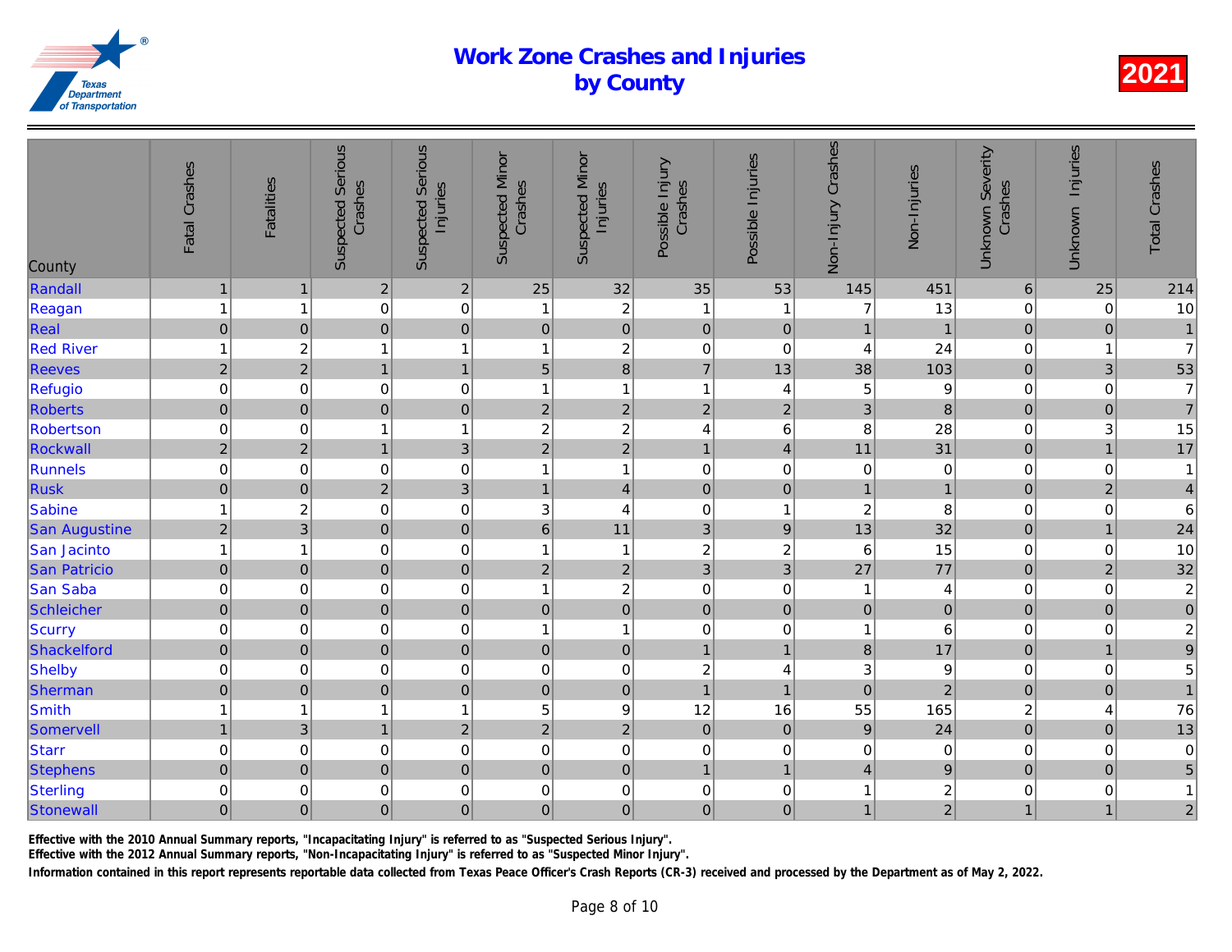| County               | Fatal Crashes       | <b>Fatalities</b>       | <b>Suspected Serious</b><br>Crashes | <b>Suspected Serious</b><br>Injuries | <b>Suspected Minor</b><br>Crashes | <b>Suspected Minor</b><br>Injuries | Possible Injury<br>Crashes | Possible Injuries | Non-Injury Crashes      | Non-Injuries    |
|----------------------|---------------------|-------------------------|-------------------------------------|--------------------------------------|-----------------------------------|------------------------------------|----------------------------|-------------------|-------------------------|-----------------|
| Randall              | $\mathbf{1}$        | $\mathbf{1}$            | 2                                   | $\mathbf 2$                          | 25                                | 32                                 | 35                         | 53                | 145                     | 451             |
| Reagan               | $\mathbf{1}$        | 1                       | $\mathbf 0$                         | $\mathbf 0$                          | $\overline{1}$                    | $\boldsymbol{2}$                   | $\mathbf{1}$               | -1                | 7                       | 13              |
| Real                 | $\mathsf{O}\xspace$ | $\pmb{0}$               | $\pmb{0}$                           | $\mathbf 0$                          | $\pmb{0}$                         | $\overline{0}$                     | $\pmb{0}$                  | $\mathbf 0$       | $\mathbf{1}$            | $\overline{1}$  |
| <b>Red River</b>     | $\mathbf{1}$        | $\overline{\mathbf{c}}$ | 1                                   | 1                                    | $\mathbf{1}$                      | $\overline{c}$                     | $\mathbf 0$                | 0                 | 4                       | 24              |
| <b>Reeves</b>        | $\overline{2}$      | $\overline{c}$          | $\mathbf{1}$                        | $\mathbf{1}$                         | $\sqrt{5}$                        | $\overline{8}$                     | $\overline{7}$             | 13                | 38                      | 103             |
| Refugio              | $\mbox{O}$          | $\pmb{0}$               | $\mathbf 0$                         | $\mbox{O}$                           | $\overline{1}$                    | $\mathbf{1}$                       | $\mathbf{1}$               | 4                 | 5                       | $\overline{9}$  |
| <b>Roberts</b>       | $\mathsf{O}\xspace$ | $\pmb{0}$               | $\mathbf 0$                         | $\mathbf 0$                          | $\boldsymbol{2}$                  | $\sqrt{2}$                         | $\mathbf 2$                | $\mathbf 2$       | 3                       | $\bf{8}$        |
| Robertson            | $\mathsf{O}\xspace$ | 0                       |                                     | $\mathbf{1}$                         | $\boldsymbol{2}$                  | $\boldsymbol{2}$                   | $\overline{\mathbf{4}}$    | $\,6$             | 8                       | 28              |
| Rockwall             | $\overline{2}$      | $\overline{2}$          | $\mathbf{1}$                        | 3                                    | $\overline{2}$                    | $\overline{2}$                     | $\mathbf{1}$               | $\overline{4}$    | 11                      | 31              |
| Runnels              | $\mathbf 0$         | $\pmb{0}$               | $\mathbf 0$                         | $\mathbf 0$                          | $\overline{1}$                    | $\mathbf{1}$                       | $\mathbf 0$                | $\pmb{0}$         | $\mathbf 0$             | $\overline{0}$  |
| <b>Rusk</b>          | $\mathbf 0$         | $\mathbf 0$             | $\overline{2}$                      | $\overline{3}$                       | $\mathbf{1}$                      | $\vert 4 \vert$                    | $\mathbf 0$                | $\mathbf 0$       | $\mathbf{1}$            |                 |
| Sabine               | $\mathbf{1}$        | $\overline{\mathbf{c}}$ | $\mathbf 0$                         | $\mathbf 0$                          | $\ensuremath{\mathsf{3}}$         | 4                                  | $\mathbf 0$                | $\mathbf 1$       | $\overline{\mathbf{c}}$ | 8               |
| <b>San Augustine</b> | $\mathbf 2$         | 3                       | $\pmb{0}$                           | $\mathsf{O}\xspace$                  | $\,6\,$                           | 11                                 | $\ensuremath{\mathsf{3}}$  | $\boldsymbol{9}$  | 13                      | 32              |
| San Jacinto          | $\mathbf{1}$        | $\overline{1}$          | $\mathbf 0$                         | $\mathbf 0$                          | $\mathbf{1}$                      | $\mathbf{1}$                       | $\boldsymbol{2}$           | $\boldsymbol{2}$  | 6                       | 15              |
| <b>San Patricio</b>  | $\pmb{0}$           | $\pmb{0}$               | $\mathbf 0$                         | $\mathbf 0$                          | $\sqrt{2}$                        | $\overline{2}$                     | $\overline{3}$             | 3                 | 27                      | 77              |
| San Saba             | $\mbox{O}$          | $\mathbf 0$             | $\mathbf 0$                         | $\mathbf 0$                          | $\overline{1}$                    | $\sqrt{2}$                         | $\mathbf 0$                | $\pmb{0}$         | $\mathbf 1$             | $\overline{4}$  |
| Schleicher           | $\mathbf 0$         | $\pmb{0}$               | $\mathbf 0$                         | $\mathbf 0$                          | $\pmb{0}$                         | $\overline{0}$                     | $\pmb{0}$                  | $\mathbf 0$       | $\pmb{0}$               | $\overline{0}$  |
| Scurry               | $\mathsf{O}\xspace$ | $\mathbf 0$             | $\mathbf 0$                         | $\mathbf 0$                          | $\mathbf{1}$                      | $\mathbf{1}$                       | $\mathbf 0$                | $\pmb{0}$         | 1                       | $6\phantom{.}6$ |
| Shackelford          | $\mathbf 0$         | $\mathbf 0$             | $\overline{0}$                      | $\mathbf 0$                          | $\mathbf 0$                       | $\overline{0}$                     | $\mathbf{1}$               | $\mathbf{1}$      | $\bf{8}$                | 17              |
| Shelby               | $\mathbf 0$         | $\pmb{0}$               | $\mathbf 0$                         | $\mathbf 0$                          | $\mathbf 0$                       | $\mathbf 0$                        | $\overline{\mathbf{c}}$    | 4                 | 3                       | 9               |
| Sherman              | $\mathbf 0$         | $\pmb{0}$               | $\mathbf 0$                         | $\mathbf 0$                          | $\pmb{0}$                         | $\overline{0}$                     | $\overline{1}$             | $\overline{1}$    | $\overline{0}$          | $\overline{a}$  |
| Smith                | $\mathbf{1}$        | 1                       | 1                                   | $\mathbf{1}$                         | 5                                 | $\boldsymbol{9}$                   | 12                         | 16                | 55                      | 165             |
| Somervell            | $\mathbf{1}$        | $\mathfrak{B}$          | $\mathbf{1}$                        | $\mathbf 2$                          | $\sqrt{2}$                        | $\overline{2}$                     | $\mathbf 0$                | $\mathbf 0$       | $\overline{9}$          | 24              |
| Starr                | $\mathbf 0$         | $\mathbf 0$             | $\mathbf 0$                         | $\mathbf 0$                          | $\mathbf 0$                       | $\pmb{0}$                          | $\mathbf 0$                | 0                 | $\mathbf 0$             | $\overline{0}$  |
| <b>Stephens</b>      | $\pmb{0}$           | $\pmb{0}$               | $\mathbf 0$                         | $\mathbf 0$                          | $\pmb{0}$                         | $\pmb{0}$                          | $\overline{1}$             | $\overline{1}$    | $\overline{\mathbf{4}}$ | $\overline{9}$  |
| Sterling             | $\mathbf 0$         | 0                       | $\mathbf 0$                         | $\mbox{O}$                           | $\pmb{0}$                         | $\mathbf 0$                        | $\mathbf 0$                | $\pmb{0}$         | 1                       | $\frac{2}{2}$   |
| Stonewall            | $\mathsf{O}\xspace$ | $\pmb{0}$               | $\mathbf 0$                         | $\boldsymbol{0}$                     | $\mathbf 0$                       | $\overline{0}$                     | $\mathbf 0$                | $\pmb{0}$         | $\mathbf{1}$            |                 |
|                      |                     |                         |                                     |                                      |                                   |                                    |                            |                   |                         |                 |

Effective with the 2010 Annual Summary reports, "Incapacitating Injury" is referred to as "Suspected Serious Injury".

Effective with the 2012 Annual Summary reports, "Non-Incapacitating Injury" is referred to as "Suspected Minor Injury".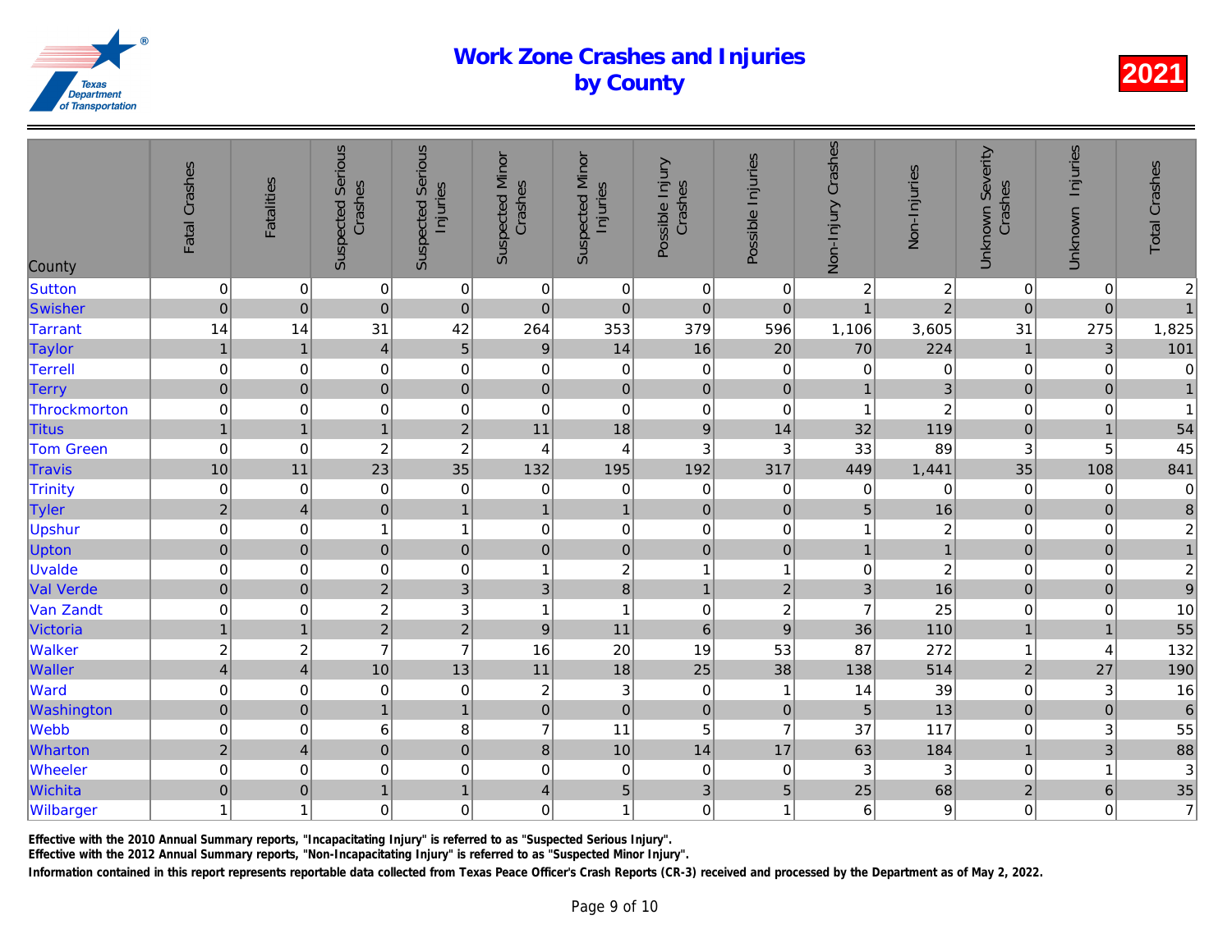| County           | Fatal Crashes           | <b>Fatalities</b>       | <b>Suspected Serious</b><br>Crashes | Serious<br>Injuries<br>Suspected | <b>Suspected Minor</b><br>Crashes | <b>Suspected Minor</b><br>Injuries | Possible Injury<br>Crashes | Possible Injuries | Non-Injury Crashes | Non-Injuries   |
|------------------|-------------------------|-------------------------|-------------------------------------|----------------------------------|-----------------------------------|------------------------------------|----------------------------|-------------------|--------------------|----------------|
| Sutton           | $\mathbf 0$             | 0                       | $\pmb{0}$                           | $\mathbf 0$                      | 0                                 | $\mathbf 0$                        | $\mathbf 0$                | 0                 | $\overline{c}$     | $\frac{2}{2}$  |
| Swisher          | $\mathbf 0$             | $\pmb{0}$               | $\overline{0}$                      | $\mathbf 0$                      | $\pmb{0}$                         | $\mathbf 0$                        | $\mathbf 0$                | $\mathbf 0$       | $\overline{1}$     |                |
| <b>Tarrant</b>   | 14                      | 14                      | 31                                  | 42                               | 264                               | 353                                | 379                        | 596               | 1,106              | 3,605          |
| <b>Taylor</b>    | $\mathbf{1}$            | $\mathbf{1}$            | $\overline{4}$                      | $\overline{5}$                   | $\boldsymbol{9}$                  | 14                                 | 16                         | 20                | 70                 | 224            |
| Terrell          | $\mbox{O}$              | $\pmb{0}$               | $\mathbf 0$                         | $\mathbf 0$                      | $\mathbf 0$                       | $\pmb{0}$                          | 0                          | $\mathbf 0$       | $\mathbf 0$        | $\overline{0}$ |
| <b>Terry</b>     | $\pmb{0}$               | $\pmb{0}$               | $\mathbf 0$                         | $\mathbf 0$                      | $\mathbf 0$                       | $\pmb{0}$                          | $\mathbf 0$                | $\pmb{0}$         | $\overline{1}$     | $\overline{3}$ |
| Throckmorton     | $\mbox{O}$              | $\mathbf 0$             | $\mathbf 0$                         | $\mathbf 0$                      | $\mathbf 0$                       | $\mathbf 0$                        | $\mathbf 0$                | $\pmb{0}$         | $\overline{1}$     | $\overline{c}$ |
| <b>Titus</b>     | $\mathbf{1}$            | $\mathbf{1}$            | $\mathbf{1}$                        | $\overline{2}$                   | 11                                | 18                                 | $\boldsymbol{9}$           | 14                | 32                 | 119            |
| <b>Tom Green</b> | $\pmb{0}$               | $\mathbf 0$             | $\sqrt{2}$                          | $\overline{c}$                   | 4                                 | $\overline{4}$                     | $\ensuremath{\mathsf{3}}$  | $\sqrt{3}$        | 33                 | 89             |
| <b>Travis</b>    | 10                      | 11                      | 23                                  | 35                               | 132                               | 195                                | 192                        | 317               | 449                | 1,441          |
| Trinity          | $\pmb{0}$               | $\mathbf 0$             | $\mathbf 0$                         | $\mathbf 0$                      | $\mathbf 0$                       | $\pmb{0}$                          | $\mathbf 0$                | $\mathbf 0$       | $\mathbf 0$        | $\overline{0}$ |
| Tyler            | $\overline{2}$          | $\overline{\mathbf{4}}$ | $\pmb{0}$                           | $\mathbf{1}$                     | $\mathbf{1}$                      | $\mathbf{1}$                       | $\mathbf 0$                | $\pmb{0}$         | 5                  | 16             |
| Upshur           | $\mathbf 0$             | 0                       | 1                                   | 1                                | 0                                 | $\pmb{0}$                          | $\mathbf 0$                | 0                 | 1                  | $\overline{a}$ |
| Upton            | $\mathbf 0$             | $\mathbf{0}$            | 0                                   | $\mathbf 0$                      | $\mathbf 0$                       | $\mathbf 0$                        | $\mathbf 0$                | $\mathbf{0}$      | $\overline{1}$     | $\overline{1}$ |
| Uvalde           | $\mbox{O}$              | $\pmb{0}$               | $\mathbf 0$                         | $\mbox{O}$                       | $\overline{1}$                    | $\boldsymbol{2}$                   | $\mathbf{1}$               | $\overline{1}$    | $\mathbf 0$        | $\overline{a}$ |
| <b>Val Verde</b> | $\overline{0}$          | $\pmb{0}$               | $\overline{2}$                      | $\overline{3}$                   | $\mathfrak{S}$                    | $\bf{8}$                           | $\mathbf{1}$               | $\overline{2}$    | 3 <sup>1</sup>     | 16             |
| Van Zandt        | $\mbox{O}$              | $\pmb{0}$               | $\overline{c}$                      | 3                                | $\overline{1}$                    | $\overline{1}$                     | $\mathbf 0$                | $\boldsymbol{2}$  | $\overline{7}$     | 25             |
| Victoria         | $\mathbf{1}$            | $\mathbf{1}$            | $\overline{2}$                      | $\overline{2}$                   | $\boldsymbol{9}$                  | 11                                 | $6\phantom{1}$             | 9                 | 36                 | 110            |
| <b>Walker</b>    | $\boldsymbol{2}$        | $\overline{c}$          | $\overline{7}$                      | $\overline{7}$                   | 16                                | 20                                 | 19                         | 53                | 87                 | 272            |
| <b>Waller</b>    | $\overline{\mathbf{4}}$ | $\overline{4}$          | 10                                  | 13                               | 11                                | 18                                 | 25                         | 38                | 138                | 514            |
| Ward             | $\mathbf 0$             | $\mathbf 0$             | $\mathbf 0$                         | $\mathbf 0$                      | $\overline{c}$                    | $\ensuremath{\mathsf{3}}$          | $\boldsymbol{0}$           | $\overline{1}$    | 14                 | 39             |
| Washington       | $\mathbf 0$             | $\pmb{0}$               | $\mathbf{1}$                        | $\overline{1}$                   | $\pmb{0}$                         | $\mathbf 0$                        | $\mathbf 0$                | $\pmb{0}$         | 5                  | 13             |
| <b>Webb</b>      | $\mathbf 0$             | $\mathbf 0$             | 6                                   | 8                                | $\overline{7}$                    | 11                                 | 5                          | $\overline{7}$    | 37                 | 117            |
| Wharton          | $\overline{2}$          | $\overline{4}$          | $\overline{0}$                      | $\mathbf 0$                      | 8                                 | 10                                 | 14                         | 17                | 63                 | 184            |
| <b>Wheeler</b>   | $\mbox{O}$              | $\mathbf 0$             | $\mathbf 0$                         | $\mathbf 0$                      | $\mathbf 0$                       | $\mathbf 0$                        | 0                          | $\mathbf 0$       | 3                  | $\overline{3}$ |
| Wichita          | $\mathbf 0$             | $\pmb{0}$               | $\mathbf{1}$                        | $\mathbf{1}$                     | $\overline{4}$                    | 5 <sup>1</sup>                     | 3                          | $\sqrt{5}$        | 25                 | 68             |
| Wilbarger        | $\mathbf{1}$            | 1                       | $\mathbf 0$                         | $\mathbf 0$                      | $\boldsymbol{0}$                  | $\mathbf{1}$                       | $\mathbf 0$                | 1                 | 6                  | $\mathbf{9}$   |

Effective with the 2010 Annual Summary reports, "Incapacitating Injury" is referred to as "Suspected Serious Injury".

Effective with the 2012 Annual Summary reports, "Non-Incapacitating Injury" is referred to as "Suspected Minor Injury".